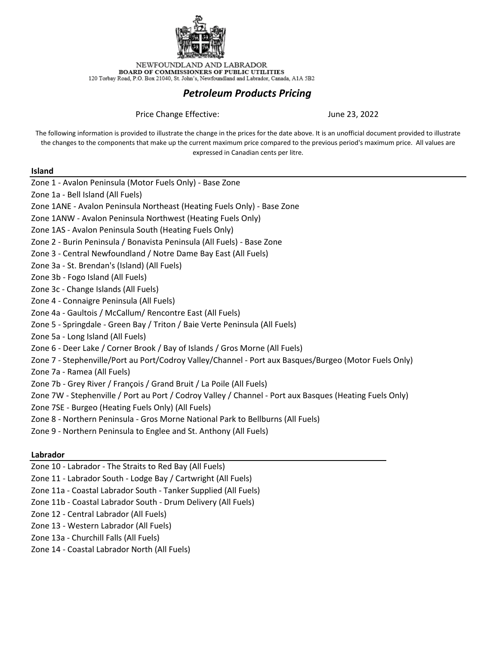

NEWFOUNDLAND AND LABRADOR BOARD OF COMMISSIONERS OF PUBLIC UTILITIES  $120$  Torbay Road, P.O. Box  $21040,$  St. John's, Newfoundland and Labrador, Canada, A1A  $5\mathrm{B}2$ 

#### *Petroleum Products Pricing*

Price Change Effective:

June 23, 2022

The following information is provided to illustrate the change in the prices for the date above. It is an unofficial document provided to illustrate the changes to the components that make up the current maximum price compared to the previous period's maximum price. All values are expressed in Canadian cents per litre.

#### **Island**

Zone 1 - Avalon Peninsula (Motor Fuels Only) - Base Zone Zone 1a - Bell Island (All Fuels) Zone 1ANE - Avalon Peninsula Northeast (Heating Fuels Only) - Base Zone Zone 1ANW - Avalon Peninsula Northwest (Heating Fuels Only) Zone 1AS - Avalon Peninsula South (Heating Fuels Only) Zone 2 - Burin Peninsula / Bonavista Peninsula (All Fuels) - Base Zone Zone 3 - Central Newfoundland / Notre Dame Bay East (All Fuels) Zone 3a - St. Brendan's (Island) (All Fuels) Zone 3b - Fogo Island (All Fuels) Zone 3c - Change Islands (All Fuels) Zone 4 - Connaigre Peninsula (All Fuels) Zone 4a - Gaultois / McCallum/ Rencontre East (All Fuels) Zone 5 - Springdale - Green Bay / Triton / Baie Verte Peninsula (All Fuels) Zone 5a - Long Island (All Fuels) Zone 6 - Deer Lake / Corner Brook / Bay of Islands / Gros Morne (All Fuels) Zone 7 - Stephenville/Port au Port/Codroy Valley/Channel - Port aux Basques/Burgeo (Motor Fuels Only) Zone 7a - Ramea (All Fuels) Zone 7b - Grey River / François / Grand Bruit / La Poile (All Fuels) Zone 7W - Stephenville / Port au Port / Codroy Valley / Channel - Port aux Basques (Heating Fuels Only) Zone 7SE - Burgeo (Heating Fuels Only) (All Fuels) Zone 8 - Northern Peninsula - Gros Morne National Park to Bellburns (All Fuels) Zone 9 - Northern Peninsula to Englee and St. Anthony (All Fuels)

#### **Labrador**

Zone 10 - Labrador - The Straits to Red Bay (All Fuels)

Zone 11 - Labrador South - Lodge Bay / Cartwright (All Fuels)

Zone 11a - Coastal Labrador South - Tanker Supplied (All Fuels)

Zone 11b - Coastal Labrador South - Drum Delivery (All Fuels)

Zone 12 - Central Labrador (All Fuels)

Zone 13 - Western Labrador (All Fuels)

Zone 13a - Churchill Falls (All Fuels)

Zone 14 - Coastal Labrador North (All Fuels)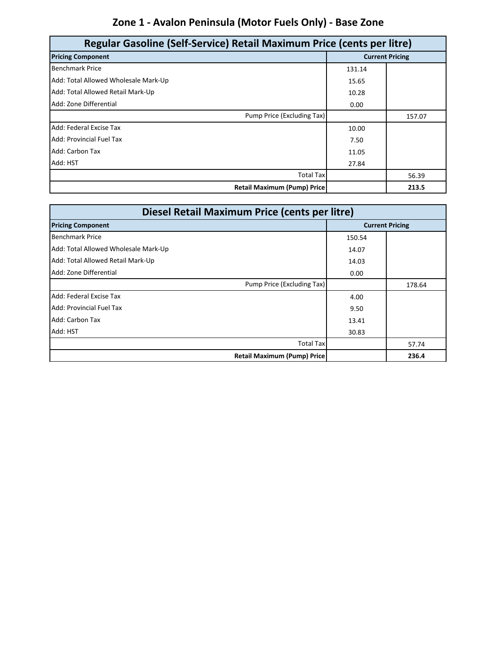# **Zone 1 - Avalon Peninsula (Motor Fuels Only) - Base Zone**

| Regular Gasoline (Self-Service) Retail Maximum Price (cents per litre) |        |                        |
|------------------------------------------------------------------------|--------|------------------------|
| <b>Pricing Component</b>                                               |        | <b>Current Pricing</b> |
| <b>Benchmark Price</b>                                                 | 131.14 |                        |
| Add: Total Allowed Wholesale Mark-Up                                   | 15.65  |                        |
| Add: Total Allowed Retail Mark-Up                                      | 10.28  |                        |
| Add: Zone Differential                                                 | 0.00   |                        |
| Pump Price (Excluding Tax)                                             |        | 157.07                 |
| Add: Federal Excise Tax                                                | 10.00  |                        |
| <b>Add: Provincial Fuel Tax</b>                                        | 7.50   |                        |
| Add: Carbon Tax                                                        | 11.05  |                        |
| Add: HST                                                               | 27.84  |                        |
| <b>Total Tax</b>                                                       |        | 56.39                  |
| <b>Retail Maximum (Pump) Price</b>                                     |        | 213.5                  |

| Diesel Retail Maximum Price (cents per litre) |        |                        |
|-----------------------------------------------|--------|------------------------|
| <b>Pricing Component</b>                      |        | <b>Current Pricing</b> |
| <b>Benchmark Price</b>                        | 150.54 |                        |
| Add: Total Allowed Wholesale Mark-Up          | 14.07  |                        |
| Add: Total Allowed Retail Mark-Up             | 14.03  |                        |
| Add: Zone Differential                        | 0.00   |                        |
| Pump Price (Excluding Tax)                    |        | 178.64                 |
| Add: Federal Excise Tax                       | 4.00   |                        |
| Add: Provincial Fuel Tax                      | 9.50   |                        |
| Add: Carbon Tax                               | 13.41  |                        |
| Add: HST                                      | 30.83  |                        |
| <b>Total Tax</b>                              |        | 57.74                  |
| <b>Retail Maximum (Pump) Price</b>            |        | 236.4                  |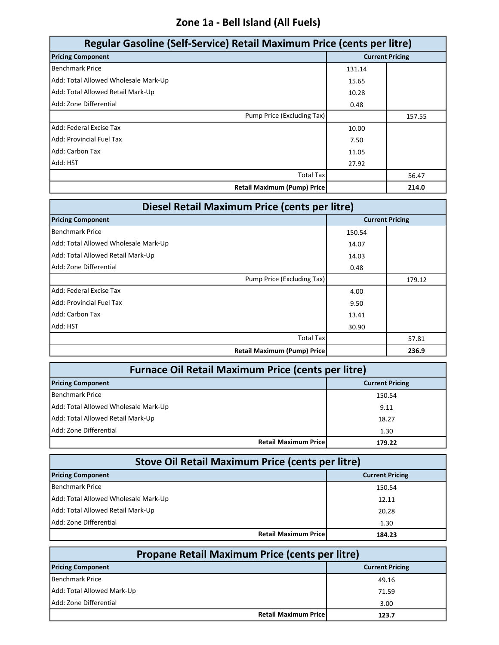### **Zone 1a - Bell Island (All Fuels)**

| Regular Gasoline (Self-Service) Retail Maximum Price (cents per litre) |        |                        |
|------------------------------------------------------------------------|--------|------------------------|
| <b>Pricing Component</b>                                               |        | <b>Current Pricing</b> |
| <b>Benchmark Price</b>                                                 | 131.14 |                        |
| Add: Total Allowed Wholesale Mark-Up                                   | 15.65  |                        |
| Add: Total Allowed Retail Mark-Up                                      | 10.28  |                        |
| Add: Zone Differential                                                 | 0.48   |                        |
| Pump Price (Excluding Tax)                                             |        | 157.55                 |
| Add: Federal Excise Tax                                                | 10.00  |                        |
| Add: Provincial Fuel Tax                                               | 7.50   |                        |
| Add: Carbon Tax                                                        | 11.05  |                        |
| Add: HST                                                               | 27.92  |                        |
| <b>Total Tax</b>                                                       |        | 56.47                  |
| <b>Retail Maximum (Pump) Price</b>                                     |        | 214.0                  |

| Diesel Retail Maximum Price (cents per litre) |        |                        |
|-----------------------------------------------|--------|------------------------|
| <b>Pricing Component</b>                      |        | <b>Current Pricing</b> |
| <b>Benchmark Price</b>                        | 150.54 |                        |
| Add: Total Allowed Wholesale Mark-Up          | 14.07  |                        |
| Add: Total Allowed Retail Mark-Up             | 14.03  |                        |
| Add: Zone Differential                        | 0.48   |                        |
| Pump Price (Excluding Tax)                    |        | 179.12                 |
| Add: Federal Excise Tax                       | 4.00   |                        |
| Add: Provincial Fuel Tax                      | 9.50   |                        |
| Add: Carbon Tax                               | 13.41  |                        |
| Add: HST                                      | 30.90  |                        |
| <b>Total Tax</b>                              |        | 57.81                  |
| <b>Retail Maximum (Pump) Price</b>            |        | 236.9                  |

| <b>Furnace Oil Retail Maximum Price (cents per litre)</b> |                                       |  |
|-----------------------------------------------------------|---------------------------------------|--|
| <b>Pricing Component</b>                                  | <b>Current Pricing</b>                |  |
| <b>Benchmark Price</b>                                    | 150.54                                |  |
| Add: Total Allowed Wholesale Mark-Up                      | 9.11                                  |  |
| Add: Total Allowed Retail Mark-Up                         | 18.27                                 |  |
| Add: Zone Differential                                    | 1.30                                  |  |
|                                                           | <b>Retail Maximum Price</b><br>179.22 |  |

| <b>Stove Oil Retail Maximum Price (cents per litre)</b> |                        |  |
|---------------------------------------------------------|------------------------|--|
| <b>Pricing Component</b>                                | <b>Current Pricing</b> |  |
| <b>Benchmark Price</b>                                  | 150.54                 |  |
| Add: Total Allowed Wholesale Mark-Up                    | 12.11                  |  |
| Add: Total Allowed Retail Mark-Up                       | 20.28                  |  |
| Add: Zone Differential                                  | 1.30                   |  |
| <b>Retail Maximum Pricel</b>                            | 184.23                 |  |

| <b>Propane Retail Maximum Price (cents per litre)</b> |                        |  |  |
|-------------------------------------------------------|------------------------|--|--|
| <b>Pricing Component</b>                              | <b>Current Pricing</b> |  |  |
| <b>Benchmark Price</b>                                | 49.16                  |  |  |
| Add: Total Allowed Mark-Up                            | 71.59                  |  |  |
| Add: Zone Differential                                | 3.00                   |  |  |
| <b>Retail Maximum Price</b>                           | 123.7                  |  |  |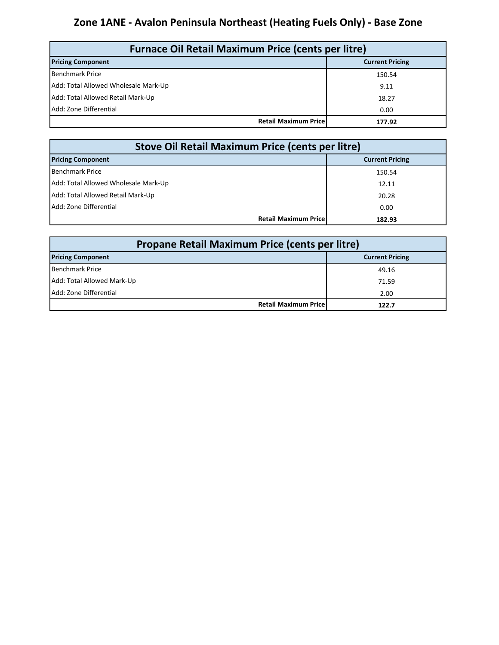### **Zone 1ANE - Avalon Peninsula Northeast (Heating Fuels Only) - Base Zone**

| <b>Furnace Oil Retail Maximum Price (cents per litre)</b> |                        |  |
|-----------------------------------------------------------|------------------------|--|
| <b>Pricing Component</b>                                  | <b>Current Pricing</b> |  |
| <b>Benchmark Price</b>                                    | 150.54                 |  |
| Add: Total Allowed Wholesale Mark-Up                      | 9.11                   |  |
| Add: Total Allowed Retail Mark-Up                         | 18.27                  |  |
| Add: Zone Differential                                    | 0.00                   |  |
| <b>Retail Maximum Price</b>                               | 177.92                 |  |

| Stove Oil Retail Maximum Price (cents per litre) |                        |  |  |
|--------------------------------------------------|------------------------|--|--|
| <b>Pricing Component</b>                         | <b>Current Pricing</b> |  |  |
| <b>Benchmark Price</b>                           | 150.54                 |  |  |
| Add: Total Allowed Wholesale Mark-Up             | 12.11                  |  |  |
| Add: Total Allowed Retail Mark-Up                | 20.28                  |  |  |
| Add: Zone Differential                           | 0.00                   |  |  |
| <b>Retail Maximum Pricel</b>                     | 182.93                 |  |  |

| <b>Propane Retail Maximum Price (cents per litre)</b> |                             |                        |
|-------------------------------------------------------|-----------------------------|------------------------|
| <b>Pricing Component</b>                              |                             | <b>Current Pricing</b> |
| <b>Benchmark Price</b>                                |                             | 49.16                  |
| Add: Total Allowed Mark-Up                            |                             | 71.59                  |
| Add: Zone Differential                                |                             | 2.00                   |
|                                                       | <b>Retail Maximum Price</b> | 122.7                  |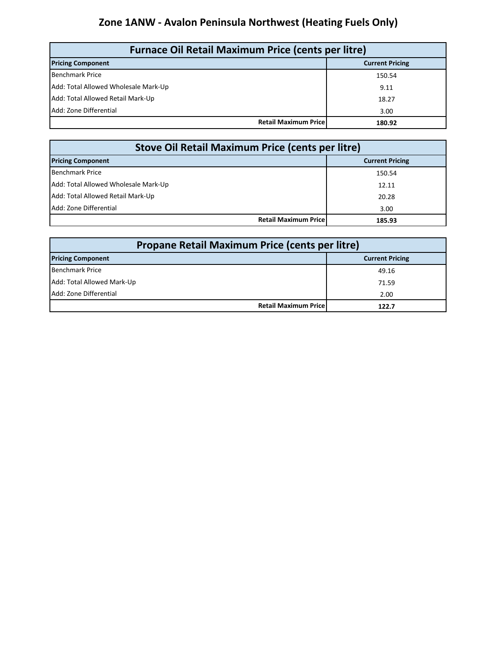### **Zone 1ANW - Avalon Peninsula Northwest (Heating Fuels Only)**

| <b>Furnace Oil Retail Maximum Price (cents per litre)</b> |                        |  |
|-----------------------------------------------------------|------------------------|--|
| <b>Pricing Component</b>                                  | <b>Current Pricing</b> |  |
| <b>Benchmark Price</b>                                    | 150.54                 |  |
| Add: Total Allowed Wholesale Mark-Up                      | 9.11                   |  |
| Add: Total Allowed Retail Mark-Up                         | 18.27                  |  |
| Add: Zone Differential                                    | 3.00                   |  |
| <b>Retail Maximum Pricel</b>                              | 180.92                 |  |

| <b>Stove Oil Retail Maximum Price (cents per litre)</b> |                        |  |  |
|---------------------------------------------------------|------------------------|--|--|
| <b>Pricing Component</b>                                | <b>Current Pricing</b> |  |  |
| <b>Benchmark Price</b>                                  | 150.54                 |  |  |
| Add: Total Allowed Wholesale Mark-Up                    | 12.11                  |  |  |
| Add: Total Allowed Retail Mark-Up                       | 20.28                  |  |  |
| Add: Zone Differential                                  | 3.00                   |  |  |
| <b>Retail Maximum Pricel</b>                            | 185.93                 |  |  |

| <b>Propane Retail Maximum Price (cents per litre)</b> |                                      |  |
|-------------------------------------------------------|--------------------------------------|--|
| <b>Pricing Component</b>                              | <b>Current Pricing</b>               |  |
| Benchmark Price                                       | 49.16                                |  |
| Add: Total Allowed Mark-Up                            | 71.59                                |  |
| Add: Zone Differential                                | 2.00                                 |  |
|                                                       | <b>Retail Maximum Price</b><br>122.7 |  |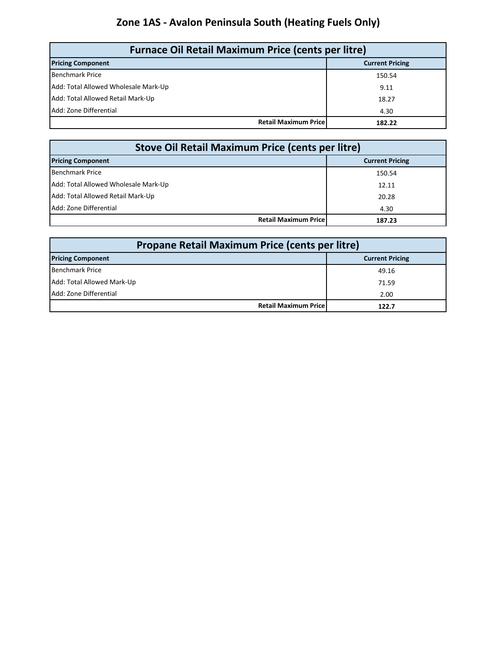# **Zone 1AS - Avalon Peninsula South (Heating Fuels Only)**

| <b>Furnace Oil Retail Maximum Price (cents per litre)</b> |                        |  |
|-----------------------------------------------------------|------------------------|--|
| <b>Pricing Component</b>                                  | <b>Current Pricing</b> |  |
| <b>Benchmark Price</b>                                    | 150.54                 |  |
| Add: Total Allowed Wholesale Mark-Up                      | 9.11                   |  |
| Add: Total Allowed Retail Mark-Up                         | 18.27                  |  |
| Add: Zone Differential                                    | 4.30                   |  |
| <b>Retail Maximum Price</b>                               | 182.22                 |  |

| <b>Stove Oil Retail Maximum Price (cents per litre)</b> |                                        |  |
|---------------------------------------------------------|----------------------------------------|--|
| <b>Pricing Component</b>                                | <b>Current Pricing</b>                 |  |
| Benchmark Price                                         | 150.54                                 |  |
| Add: Total Allowed Wholesale Mark-Up                    | 12.11                                  |  |
| Add: Total Allowed Retail Mark-Up                       | 20.28                                  |  |
| Add: Zone Differential                                  | 4.30                                   |  |
|                                                         | <b>Retail Maximum Pricel</b><br>187.23 |  |

| <b>Propane Retail Maximum Price (cents per litre)</b> |                        |  |
|-------------------------------------------------------|------------------------|--|
| <b>Pricing Component</b>                              | <b>Current Pricing</b> |  |
| <b>Benchmark Price</b>                                | 49.16                  |  |
| Add: Total Allowed Mark-Up                            | 71.59                  |  |
| Add: Zone Differential                                | 2.00                   |  |
| <b>Retail Maximum Pricel</b>                          | 122.7                  |  |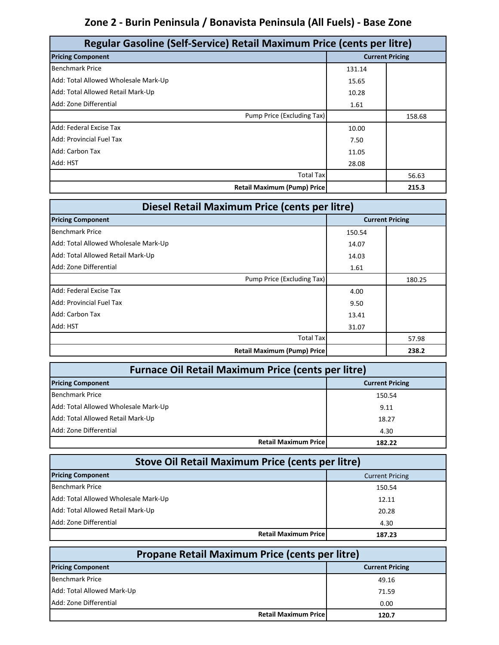### **Zone 2 - Burin Peninsula / Bonavista Peninsula (All Fuels) - Base Zone**

| Regular Gasoline (Self-Service) Retail Maximum Price (cents per litre) |        |                        |
|------------------------------------------------------------------------|--------|------------------------|
| <b>Pricing Component</b>                                               |        | <b>Current Pricing</b> |
| <b>Benchmark Price</b>                                                 | 131.14 |                        |
| Add: Total Allowed Wholesale Mark-Up                                   | 15.65  |                        |
| Add: Total Allowed Retail Mark-Up                                      | 10.28  |                        |
| Add: Zone Differential                                                 | 1.61   |                        |
| Pump Price (Excluding Tax)                                             |        | 158.68                 |
| Add: Federal Excise Tax                                                | 10.00  |                        |
| Add: Provincial Fuel Tax                                               | 7.50   |                        |
| Add: Carbon Tax                                                        | 11.05  |                        |
| Add: HST                                                               | 28.08  |                        |
| <b>Total Tax</b>                                                       |        | 56.63                  |
| <b>Retail Maximum (Pump) Price</b>                                     |        | 215.3                  |

| Diesel Retail Maximum Price (cents per litre) |        |                        |
|-----------------------------------------------|--------|------------------------|
| <b>Pricing Component</b>                      |        | <b>Current Pricing</b> |
| <b>Benchmark Price</b>                        | 150.54 |                        |
| Add: Total Allowed Wholesale Mark-Up          | 14.07  |                        |
| Add: Total Allowed Retail Mark-Up             | 14.03  |                        |
| Add: Zone Differential                        | 1.61   |                        |
| Pump Price (Excluding Tax)                    |        | 180.25                 |
| Add: Federal Excise Tax                       | 4.00   |                        |
| <b>Add: Provincial Fuel Tax</b>               | 9.50   |                        |
| Add: Carbon Tax                               | 13.41  |                        |
| Add: HST                                      | 31.07  |                        |
| <b>Total Tax</b>                              |        | 57.98                  |
| <b>Retail Maximum (Pump) Price</b>            |        | 238.2                  |

| <b>Furnace Oil Retail Maximum Price (cents per litre)</b> |                              |                        |
|-----------------------------------------------------------|------------------------------|------------------------|
| <b>Pricing Component</b>                                  |                              | <b>Current Pricing</b> |
| <b>Benchmark Price</b>                                    |                              | 150.54                 |
| Add: Total Allowed Wholesale Mark-Up                      |                              | 9.11                   |
| Add: Total Allowed Retail Mark-Up                         |                              | 18.27                  |
| Add: Zone Differential                                    |                              | 4.30                   |
|                                                           | <b>Retail Maximum Pricel</b> | 182.22                 |

| Stove Oil Retail Maximum Price (cents per litre) |                        |  |
|--------------------------------------------------|------------------------|--|
| <b>Pricing Component</b>                         | <b>Current Pricing</b> |  |
| <b>Benchmark Price</b>                           | 150.54                 |  |
| Add: Total Allowed Wholesale Mark-Up             | 12.11                  |  |
| Add: Total Allowed Retail Mark-Up                | 20.28                  |  |
| Add: Zone Differential                           | 4.30                   |  |
| <b>Retail Maximum Pricel</b>                     | 187.23                 |  |

| <b>Propane Retail Maximum Price (cents per litre)</b> |                        |  |  |
|-------------------------------------------------------|------------------------|--|--|
| <b>Pricing Component</b>                              | <b>Current Pricing</b> |  |  |
| <b>Benchmark Price</b>                                | 49.16                  |  |  |
| Add: Total Allowed Mark-Up                            | 71.59                  |  |  |
| Add: Zone Differential                                | 0.00                   |  |  |
| <b>Retail Maximum Price</b>                           | 120.7                  |  |  |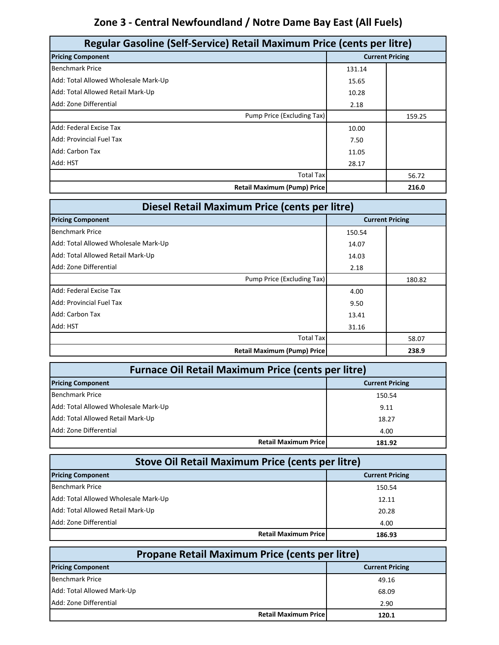# **Zone 3 - Central Newfoundland / Notre Dame Bay East (All Fuels)**

| Regular Gasoline (Self-Service) Retail Maximum Price (cents per litre) |        |                        |
|------------------------------------------------------------------------|--------|------------------------|
| <b>Pricing Component</b>                                               |        | <b>Current Pricing</b> |
| <b>Benchmark Price</b>                                                 | 131.14 |                        |
| Add: Total Allowed Wholesale Mark-Up                                   | 15.65  |                        |
| Add: Total Allowed Retail Mark-Up                                      | 10.28  |                        |
| Add: Zone Differential                                                 | 2.18   |                        |
| Pump Price (Excluding Tax)                                             |        | 159.25                 |
| Add: Federal Excise Tax                                                | 10.00  |                        |
| <b>Add: Provincial Fuel Tax</b>                                        | 7.50   |                        |
| Add: Carbon Tax                                                        | 11.05  |                        |
| Add: HST                                                               | 28.17  |                        |
| <b>Total Tax</b>                                                       |        | 56.72                  |
| <b>Retail Maximum (Pump) Price</b>                                     |        | 216.0                  |

| Diesel Retail Maximum Price (cents per litre) |        |                        |
|-----------------------------------------------|--------|------------------------|
| <b>Pricing Component</b>                      |        | <b>Current Pricing</b> |
| <b>Benchmark Price</b>                        | 150.54 |                        |
| Add: Total Allowed Wholesale Mark-Up          | 14.07  |                        |
| Add: Total Allowed Retail Mark-Up             | 14.03  |                        |
| Add: Zone Differential                        | 2.18   |                        |
| Pump Price (Excluding Tax)                    |        | 180.82                 |
| Add: Federal Excise Tax                       | 4.00   |                        |
| Add: Provincial Fuel Tax                      | 9.50   |                        |
| Add: Carbon Tax                               | 13.41  |                        |
| Add: HST                                      | 31.16  |                        |
| <b>Total Tax</b>                              |        | 58.07                  |
| <b>Retail Maximum (Pump) Price</b>            |        | 238.9                  |

| <b>Furnace Oil Retail Maximum Price (cents per litre)</b> |                                       |  |
|-----------------------------------------------------------|---------------------------------------|--|
| <b>Pricing Component</b>                                  | <b>Current Pricing</b>                |  |
| <b>Benchmark Price</b>                                    | 150.54                                |  |
| Add: Total Allowed Wholesale Mark-Up                      | 9.11                                  |  |
| Add: Total Allowed Retail Mark-Up                         | 18.27                                 |  |
| Add: Zone Differential                                    | 4.00                                  |  |
|                                                           | <b>Retail Maximum Price</b><br>181.92 |  |

| <b>Stove Oil Retail Maximum Price (cents per litre)</b> |                        |  |
|---------------------------------------------------------|------------------------|--|
| <b>Pricing Component</b>                                | <b>Current Pricing</b> |  |
| <b>Benchmark Price</b>                                  | 150.54                 |  |
| Add: Total Allowed Wholesale Mark-Up                    | 12.11                  |  |
| Add: Total Allowed Retail Mark-Up                       | 20.28                  |  |
| Add: Zone Differential                                  | 4.00                   |  |
| <b>Retail Maximum Pricel</b>                            | 186.93                 |  |

| <b>Propane Retail Maximum Price (cents per litre)</b> |                        |  |
|-------------------------------------------------------|------------------------|--|
| <b>Pricing Component</b>                              | <b>Current Pricing</b> |  |
| <b>Benchmark Price</b>                                | 49.16                  |  |
| Add: Total Allowed Mark-Up                            | 68.09                  |  |
| Add: Zone Differential                                | 2.90                   |  |
| <b>Retail Maximum Price</b>                           | 120.1                  |  |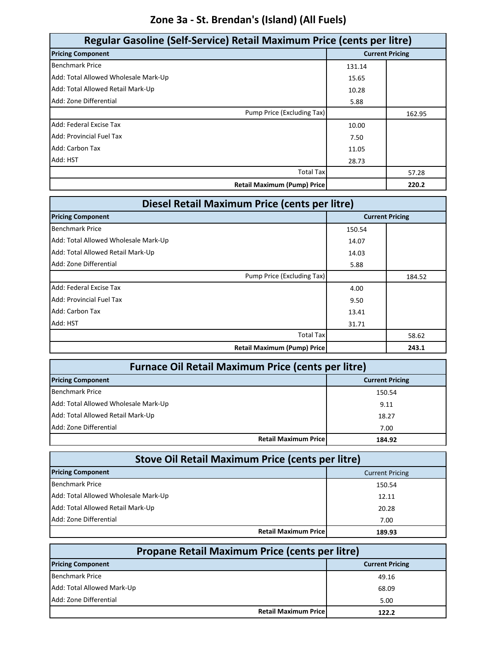### **Zone 3a - St. Brendan's (Island) (All Fuels)**

| Regular Gasoline (Self-Service) Retail Maximum Price (cents per litre) |        |                        |
|------------------------------------------------------------------------|--------|------------------------|
| <b>Pricing Component</b>                                               |        | <b>Current Pricing</b> |
| <b>Benchmark Price</b>                                                 | 131.14 |                        |
| Add: Total Allowed Wholesale Mark-Up                                   | 15.65  |                        |
| Add: Total Allowed Retail Mark-Up                                      | 10.28  |                        |
| Add: Zone Differential                                                 | 5.88   |                        |
| Pump Price (Excluding Tax)                                             |        | 162.95                 |
| Add: Federal Excise Tax                                                | 10.00  |                        |
| Add: Provincial Fuel Tax                                               | 7.50   |                        |
| Add: Carbon Tax                                                        | 11.05  |                        |
| Add: HST                                                               | 28.73  |                        |
| <b>Total Tax</b>                                                       |        | 57.28                  |
| <b>Retail Maximum (Pump) Price</b>                                     |        | 220.2                  |

| Diesel Retail Maximum Price (cents per litre) |        |                        |
|-----------------------------------------------|--------|------------------------|
| <b>Pricing Component</b>                      |        | <b>Current Pricing</b> |
| <b>Benchmark Price</b>                        | 150.54 |                        |
| Add: Total Allowed Wholesale Mark-Up          | 14.07  |                        |
| Add: Total Allowed Retail Mark-Up             | 14.03  |                        |
| Add: Zone Differential                        | 5.88   |                        |
| Pump Price (Excluding Tax)                    |        | 184.52                 |
| Add: Federal Excise Tax                       | 4.00   |                        |
| Add: Provincial Fuel Tax                      | 9.50   |                        |
| Add: Carbon Tax                               | 13.41  |                        |
| Add: HST                                      | 31.71  |                        |
| <b>Total Tax</b>                              |        | 58.62                  |
| <b>Retail Maximum (Pump) Price</b>            |        | 243.1                  |

| <b>Furnace Oil Retail Maximum Price (cents per litre)</b> |                        |  |
|-----------------------------------------------------------|------------------------|--|
| <b>Pricing Component</b>                                  | <b>Current Pricing</b> |  |
| <b>Benchmark Price</b>                                    | 150.54                 |  |
| Add: Total Allowed Wholesale Mark-Up                      | 9.11                   |  |
| Add: Total Allowed Retail Mark-Up                         | 18.27                  |  |
| Add: Zone Differential                                    | 7.00                   |  |
| <b>Retail Maximum Price</b>                               | 184.92                 |  |

| <b>Stove Oil Retail Maximum Price (cents per litre)</b> |                        |  |
|---------------------------------------------------------|------------------------|--|
| <b>Pricing Component</b>                                | <b>Current Pricing</b> |  |
| <b>Benchmark Price</b>                                  | 150.54                 |  |
| Add: Total Allowed Wholesale Mark-Up                    | 12.11                  |  |
| Add: Total Allowed Retail Mark-Up                       | 20.28                  |  |
| Add: Zone Differential                                  | 7.00                   |  |
| <b>Retail Maximum Pricel</b>                            | 189.93                 |  |

| <b>Propane Retail Maximum Price (cents per litre)</b> |                        |  |
|-------------------------------------------------------|------------------------|--|
| <b>Pricing Component</b>                              | <b>Current Pricing</b> |  |
| <b>Benchmark Price</b>                                | 49.16                  |  |
| Add: Total Allowed Mark-Up                            | 68.09                  |  |
| Add: Zone Differential                                | 5.00                   |  |
| <b>Retail Maximum Pricel</b>                          | 122.2                  |  |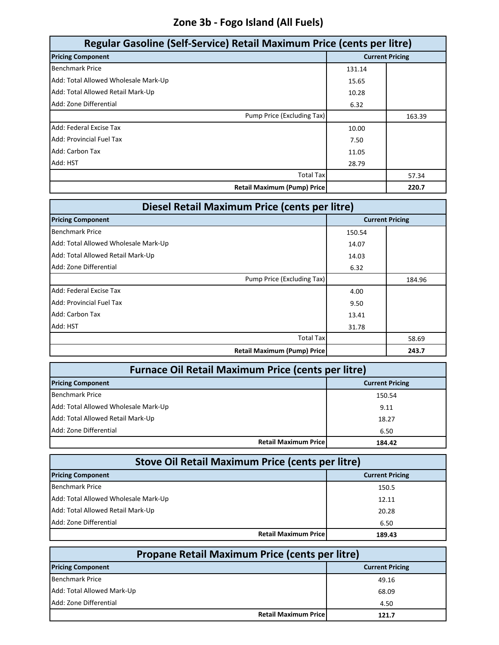### **Zone 3b - Fogo Island (All Fuels)**

| Regular Gasoline (Self-Service) Retail Maximum Price (cents per litre) |        |                        |
|------------------------------------------------------------------------|--------|------------------------|
| <b>Pricing Component</b>                                               |        | <b>Current Pricing</b> |
| <b>Benchmark Price</b>                                                 | 131.14 |                        |
| Add: Total Allowed Wholesale Mark-Up                                   | 15.65  |                        |
| Add: Total Allowed Retail Mark-Up                                      | 10.28  |                        |
| Add: Zone Differential                                                 | 6.32   |                        |
| Pump Price (Excluding Tax)                                             |        | 163.39                 |
| Add: Federal Excise Tax                                                | 10.00  |                        |
| Add: Provincial Fuel Tax                                               | 7.50   |                        |
| Add: Carbon Tax                                                        | 11.05  |                        |
| Add: HST                                                               | 28.79  |                        |
| <b>Total Tax</b>                                                       |        | 57.34                  |
| <b>Retail Maximum (Pump) Price</b>                                     |        | 220.7                  |

| Diesel Retail Maximum Price (cents per litre) |        |                        |
|-----------------------------------------------|--------|------------------------|
| <b>Pricing Component</b>                      |        | <b>Current Pricing</b> |
| <b>Benchmark Price</b>                        | 150.54 |                        |
| Add: Total Allowed Wholesale Mark-Up          | 14.07  |                        |
| Add: Total Allowed Retail Mark-Up             | 14.03  |                        |
| Add: Zone Differential                        | 6.32   |                        |
| Pump Price (Excluding Tax)                    |        | 184.96                 |
| Add: Federal Excise Tax                       | 4.00   |                        |
| Add: Provincial Fuel Tax                      | 9.50   |                        |
| Add: Carbon Tax                               | 13.41  |                        |
| Add: HST                                      | 31.78  |                        |
| <b>Total Tax</b>                              |        | 58.69                  |
| <b>Retail Maximum (Pump) Price</b>            |        | 243.7                  |

| <b>Furnace Oil Retail Maximum Price (cents per litre)</b> |                                       |  |
|-----------------------------------------------------------|---------------------------------------|--|
| <b>Pricing Component</b>                                  | <b>Current Pricing</b>                |  |
| <b>Benchmark Price</b>                                    | 150.54                                |  |
| Add: Total Allowed Wholesale Mark-Up                      | 9.11                                  |  |
| Add: Total Allowed Retail Mark-Up                         | 18.27                                 |  |
| Add: Zone Differential                                    | 6.50                                  |  |
|                                                           | <b>Retail Maximum Price</b><br>184.42 |  |

| Stove Oil Retail Maximum Price (cents per litre) |                        |  |
|--------------------------------------------------|------------------------|--|
| <b>Pricing Component</b>                         | <b>Current Pricing</b> |  |
| <b>Benchmark Price</b>                           | 150.5                  |  |
| Add: Total Allowed Wholesale Mark-Up             | 12.11                  |  |
| Add: Total Allowed Retail Mark-Up                | 20.28                  |  |
| Add: Zone Differential                           | 6.50                   |  |
| <b>Retail Maximum Pricel</b>                     | 189.43                 |  |

| <b>Propane Retail Maximum Price (cents per litre)</b> |                        |  |
|-------------------------------------------------------|------------------------|--|
| <b>Pricing Component</b>                              | <b>Current Pricing</b> |  |
| <b>Benchmark Price</b>                                | 49.16                  |  |
| Add: Total Allowed Mark-Up                            | 68.09                  |  |
| Add: Zone Differential                                | 4.50                   |  |
| <b>Retail Maximum Price</b>                           | 121.7                  |  |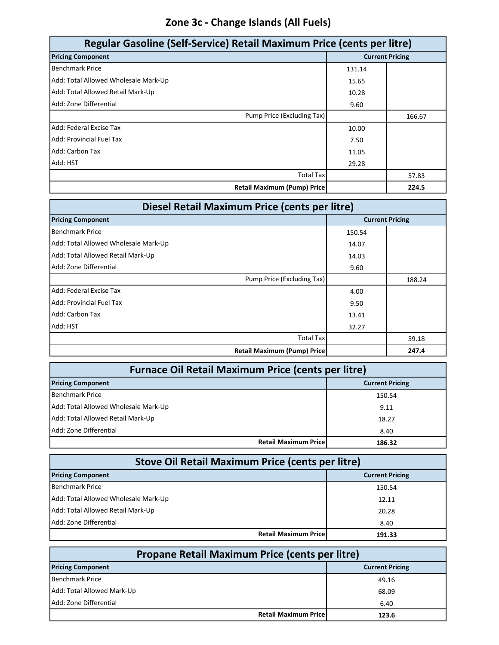### **Zone 3c - Change Islands (All Fuels)**

| Regular Gasoline (Self-Service) Retail Maximum Price (cents per litre) |        |                        |
|------------------------------------------------------------------------|--------|------------------------|
| <b>Pricing Component</b>                                               |        | <b>Current Pricing</b> |
| <b>Benchmark Price</b>                                                 | 131.14 |                        |
| Add: Total Allowed Wholesale Mark-Up                                   | 15.65  |                        |
| Add: Total Allowed Retail Mark-Up                                      | 10.28  |                        |
| Add: Zone Differential                                                 | 9.60   |                        |
| Pump Price (Excluding Tax)                                             |        | 166.67                 |
| Add: Federal Excise Tax                                                | 10.00  |                        |
| Add: Provincial Fuel Tax                                               | 7.50   |                        |
| Add: Carbon Tax                                                        | 11.05  |                        |
| Add: HST                                                               | 29.28  |                        |
| <b>Total Tax</b>                                                       |        | 57.83                  |
| <b>Retail Maximum (Pump) Price</b>                                     |        | 224.5                  |

| Diesel Retail Maximum Price (cents per litre) |                        |        |
|-----------------------------------------------|------------------------|--------|
| <b>Pricing Component</b>                      | <b>Current Pricing</b> |        |
| <b>Benchmark Price</b>                        | 150.54                 |        |
| Add: Total Allowed Wholesale Mark-Up          | 14.07                  |        |
| Add: Total Allowed Retail Mark-Up             | 14.03                  |        |
| Add: Zone Differential                        | 9.60                   |        |
| Pump Price (Excluding Tax)                    |                        | 188.24 |
| Add: Federal Excise Tax                       | 4.00                   |        |
| Add: Provincial Fuel Tax                      | 9.50                   |        |
| Add: Carbon Tax                               | 13.41                  |        |
| Add: HST                                      | 32.27                  |        |
| <b>Total Tax</b>                              |                        | 59.18  |
| <b>Retail Maximum (Pump) Price</b>            |                        | 247.4  |

| <b>Furnace Oil Retail Maximum Price (cents per litre)</b> |                                       |  |  |
|-----------------------------------------------------------|---------------------------------------|--|--|
| <b>Current Pricing</b><br><b>Pricing Component</b>        |                                       |  |  |
| <b>Benchmark Price</b>                                    | 150.54                                |  |  |
| Add: Total Allowed Wholesale Mark-Up                      | 9.11                                  |  |  |
| Add: Total Allowed Retail Mark-Up                         | 18.27                                 |  |  |
| Add: Zone Differential                                    | 8.40                                  |  |  |
|                                                           | <b>Retail Maximum Price</b><br>186.32 |  |  |

| <b>Stove Oil Retail Maximum Price (cents per litre)</b> |                        |  |
|---------------------------------------------------------|------------------------|--|
| <b>Pricing Component</b>                                | <b>Current Pricing</b> |  |
| <b>Benchmark Price</b>                                  | 150.54                 |  |
| Add: Total Allowed Wholesale Mark-Up                    | 12.11                  |  |
| Add: Total Allowed Retail Mark-Up                       | 20.28                  |  |
| Add: Zone Differential                                  | 8.40                   |  |
| <b>Retail Maximum Pricel</b>                            | 191.33                 |  |

| <b>Propane Retail Maximum Price (cents per litre)</b> |       |  |  |
|-------------------------------------------------------|-------|--|--|
| <b>Pricing Component</b><br><b>Current Pricing</b>    |       |  |  |
| <b>Benchmark Price</b>                                | 49.16 |  |  |
| Add: Total Allowed Mark-Up                            | 68.09 |  |  |
| Add: Zone Differential                                | 6.40  |  |  |
| <b>Retail Maximum Price</b>                           | 123.6 |  |  |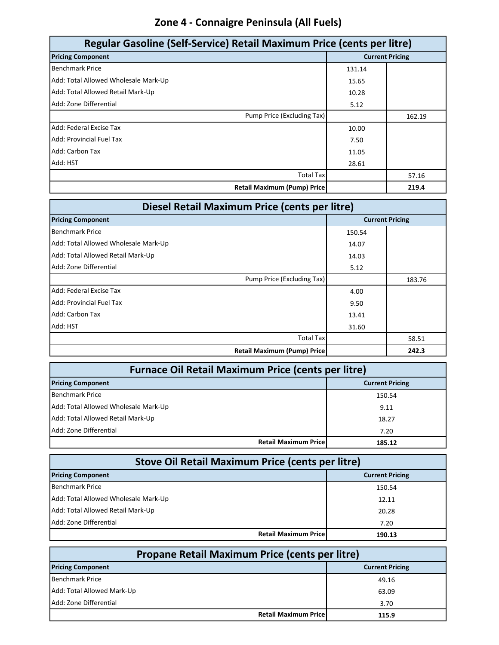### **Zone 4 - Connaigre Peninsula (All Fuels)**

| Regular Gasoline (Self-Service) Retail Maximum Price (cents per litre) |        |                        |
|------------------------------------------------------------------------|--------|------------------------|
| <b>Pricing Component</b>                                               |        | <b>Current Pricing</b> |
| <b>Benchmark Price</b>                                                 | 131.14 |                        |
| Add: Total Allowed Wholesale Mark-Up                                   | 15.65  |                        |
| Add: Total Allowed Retail Mark-Up                                      | 10.28  |                        |
| Add: Zone Differential                                                 | 5.12   |                        |
| Pump Price (Excluding Tax)                                             |        | 162.19                 |
| Add: Federal Excise Tax                                                | 10.00  |                        |
| Add: Provincial Fuel Tax                                               | 7.50   |                        |
| Add: Carbon Tax                                                        | 11.05  |                        |
| Add: HST                                                               | 28.61  |                        |
| <b>Total Tax</b>                                                       |        | 57.16                  |
| <b>Retail Maximum (Pump) Price</b>                                     |        | 219.4                  |

| Diesel Retail Maximum Price (cents per litre) |        |                        |
|-----------------------------------------------|--------|------------------------|
| <b>Pricing Component</b>                      |        | <b>Current Pricing</b> |
| <b>Benchmark Price</b>                        | 150.54 |                        |
| Add: Total Allowed Wholesale Mark-Up          | 14.07  |                        |
| Add: Total Allowed Retail Mark-Up             | 14.03  |                        |
| Add: Zone Differential                        | 5.12   |                        |
| Pump Price (Excluding Tax)                    |        | 183.76                 |
| Add: Federal Excise Tax                       | 4.00   |                        |
| Add: Provincial Fuel Tax                      | 9.50   |                        |
| Add: Carbon Tax                               | 13.41  |                        |
| Add: HST                                      | 31.60  |                        |
| <b>Total Tax</b>                              |        | 58.51                  |
| <b>Retail Maximum (Pump) Price</b>            |        | 242.3                  |

| <b>Furnace Oil Retail Maximum Price (cents per litre)</b> |                             |        |  |
|-----------------------------------------------------------|-----------------------------|--------|--|
| <b>Current Pricing</b><br><b>Pricing Component</b>        |                             |        |  |
| <b>Benchmark Price</b>                                    |                             | 150.54 |  |
| Add: Total Allowed Wholesale Mark-Up                      |                             | 9.11   |  |
| Add: Total Allowed Retail Mark-Up                         |                             | 18.27  |  |
| Add: Zone Differential                                    |                             | 7.20   |  |
|                                                           | <b>Retail Maximum Price</b> | 185.12 |  |

| <b>Stove Oil Retail Maximum Price (cents per litre)</b> |                        |  |
|---------------------------------------------------------|------------------------|--|
| <b>Pricing Component</b>                                | <b>Current Pricing</b> |  |
| <b>Benchmark Price</b>                                  | 150.54                 |  |
| Add: Total Allowed Wholesale Mark-Up                    | 12.11                  |  |
| Add: Total Allowed Retail Mark-Up                       | 20.28                  |  |
| Add: Zone Differential                                  | 7.20                   |  |
| <b>Retail Maximum Pricel</b>                            | 190.13                 |  |

| <b>Propane Retail Maximum Price (cents per litre)</b> |       |  |  |
|-------------------------------------------------------|-------|--|--|
| <b>Pricing Component</b><br><b>Current Pricing</b>    |       |  |  |
| <b>Benchmark Price</b>                                | 49.16 |  |  |
| Add: Total Allowed Mark-Up                            | 63.09 |  |  |
| Add: Zone Differential                                | 3.70  |  |  |
| <b>Retail Maximum Price</b>                           | 115.9 |  |  |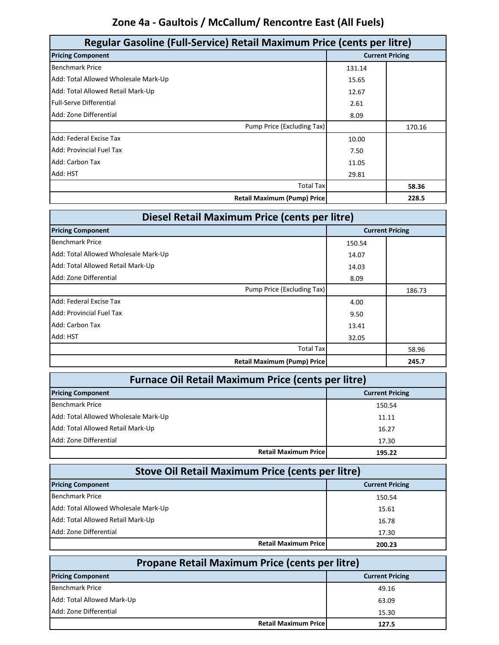# **Zone 4a - Gaultois / McCallum/ Rencontre East (All Fuels)**

| Regular Gasoline (Full-Service) Retail Maximum Price (cents per litre) |                        |        |
|------------------------------------------------------------------------|------------------------|--------|
| <b>Pricing Component</b>                                               | <b>Current Pricing</b> |        |
| <b>Benchmark Price</b>                                                 | 131.14                 |        |
| Add: Total Allowed Wholesale Mark-Up                                   | 15.65                  |        |
| Add: Total Allowed Retail Mark-Up                                      | 12.67                  |        |
| <b>Full-Serve Differential</b>                                         | 2.61                   |        |
| Add: Zone Differential                                                 | 8.09                   |        |
| Pump Price (Excluding Tax)                                             |                        | 170.16 |
| Add: Federal Excise Tax                                                | 10.00                  |        |
| <b>Add: Provincial Fuel Tax</b>                                        | 7.50                   |        |
| Add: Carbon Tax                                                        | 11.05                  |        |
| Add: HST                                                               | 29.81                  |        |
| <b>Total Tax</b>                                                       |                        | 58.36  |
| <b>Retail Maximum (Pump) Price</b>                                     |                        | 228.5  |

| Diesel Retail Maximum Price (cents per litre) |        |                        |
|-----------------------------------------------|--------|------------------------|
| <b>Pricing Component</b>                      |        | <b>Current Pricing</b> |
| <b>Benchmark Price</b>                        | 150.54 |                        |
| Add: Total Allowed Wholesale Mark-Up          | 14.07  |                        |
| Add: Total Allowed Retail Mark-Up             | 14.03  |                        |
| Add: Zone Differential                        | 8.09   |                        |
| Pump Price (Excluding Tax)                    |        | 186.73                 |
| Add: Federal Excise Tax                       | 4.00   |                        |
| <b>Add: Provincial Fuel Tax</b>               | 9.50   |                        |
| Add: Carbon Tax                               | 13.41  |                        |
| Add: HST                                      | 32.05  |                        |
| <b>Total Tax</b>                              |        | 58.96                  |
| <b>Retail Maximum (Pump) Price</b>            |        | 245.7                  |

| <b>Furnace Oil Retail Maximum Price (cents per litre)</b> |        |  |
|-----------------------------------------------------------|--------|--|
| <b>Pricing Component</b><br><b>Current Pricing</b>        |        |  |
| <b>Benchmark Price</b>                                    | 150.54 |  |
| Add: Total Allowed Wholesale Mark-Up                      | 11.11  |  |
| Add: Total Allowed Retail Mark-Up                         | 16.27  |  |
| Add: Zone Differential                                    | 17.30  |  |
| <b>Retail Maximum Pricel</b>                              | 195.22 |  |

| <b>Stove Oil Retail Maximum Price (cents per litre)</b> |        |  |
|---------------------------------------------------------|--------|--|
| <b>Pricing Component</b><br><b>Current Pricing</b>      |        |  |
| <b>Benchmark Price</b>                                  | 150.54 |  |
| Add: Total Allowed Wholesale Mark-Up                    | 15.61  |  |
| Add: Total Allowed Retail Mark-Up                       | 16.78  |  |
| Add: Zone Differential                                  | 17.30  |  |
| <b>Retail Maximum Price</b>                             | 200.23 |  |

| <b>Propane Retail Maximum Price (cents per litre)</b> |                              |       |
|-------------------------------------------------------|------------------------------|-------|
| <b>Pricing Component</b><br><b>Current Pricing</b>    |                              |       |
| <b>Benchmark Price</b>                                |                              | 49.16 |
| Add: Total Allowed Mark-Up                            |                              | 63.09 |
| Add: Zone Differential                                |                              | 15.30 |
|                                                       | <b>Retail Maximum Pricel</b> | 127.5 |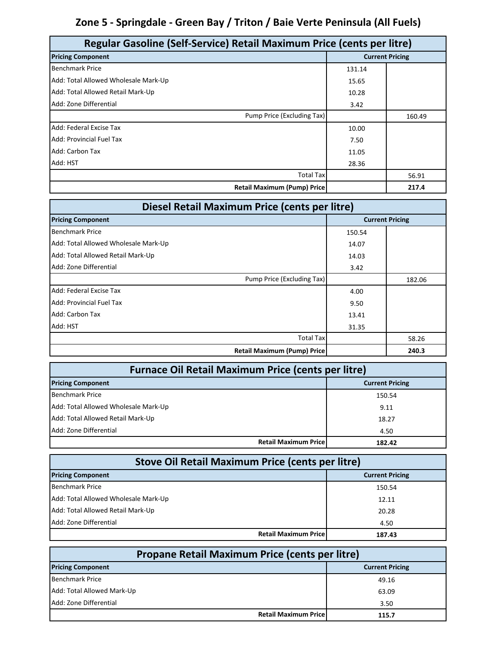# **Zone 5 - Springdale - Green Bay / Triton / Baie Verte Peninsula (All Fuels)**

| Regular Gasoline (Self-Service) Retail Maximum Price (cents per litre) |        |                        |
|------------------------------------------------------------------------|--------|------------------------|
| <b>Pricing Component</b>                                               |        | <b>Current Pricing</b> |
| <b>Benchmark Price</b>                                                 | 131.14 |                        |
| Add: Total Allowed Wholesale Mark-Up                                   | 15.65  |                        |
| Add: Total Allowed Retail Mark-Up                                      | 10.28  |                        |
| Add: Zone Differential                                                 | 3.42   |                        |
| Pump Price (Excluding Tax)                                             |        | 160.49                 |
| Add: Federal Excise Tax                                                | 10.00  |                        |
| <b>Add: Provincial Fuel Tax</b>                                        | 7.50   |                        |
| Add: Carbon Tax                                                        | 11.05  |                        |
| Add: HST                                                               | 28.36  |                        |
| <b>Total Tax</b>                                                       |        | 56.91                  |
| <b>Retail Maximum (Pump) Price</b>                                     |        | 217.4                  |

| Diesel Retail Maximum Price (cents per litre) |        |                        |
|-----------------------------------------------|--------|------------------------|
| <b>Pricing Component</b>                      |        | <b>Current Pricing</b> |
| <b>Benchmark Price</b>                        | 150.54 |                        |
| Add: Total Allowed Wholesale Mark-Up          | 14.07  |                        |
| Add: Total Allowed Retail Mark-Up             | 14.03  |                        |
| Add: Zone Differential                        | 3.42   |                        |
| Pump Price (Excluding Tax)                    |        | 182.06                 |
| Add: Federal Excise Tax                       | 4.00   |                        |
| <b>Add: Provincial Fuel Tax</b>               | 9.50   |                        |
| Add: Carbon Tax                               | 13.41  |                        |
| Add: HST                                      | 31.35  |                        |
| <b>Total Tax</b>                              |        | 58.26                  |
| <b>Retail Maximum (Pump) Price</b>            |        | 240.3                  |

| <b>Furnace Oil Retail Maximum Price (cents per litre)</b> |                                       |  |
|-----------------------------------------------------------|---------------------------------------|--|
| <b>Current Pricing</b><br><b>Pricing Component</b>        |                                       |  |
| <b>Benchmark Price</b>                                    | 150.54                                |  |
| Add: Total Allowed Wholesale Mark-Up                      | 9.11                                  |  |
| Add: Total Allowed Retail Mark-Up                         | 18.27                                 |  |
| Add: Zone Differential                                    | 4.50                                  |  |
|                                                           | <b>Retail Maximum Price</b><br>182.42 |  |

| <b>Stove Oil Retail Maximum Price (cents per litre)</b> |                        |  |
|---------------------------------------------------------|------------------------|--|
| <b>Pricing Component</b>                                | <b>Current Pricing</b> |  |
| <b>Benchmark Price</b>                                  | 150.54                 |  |
| Add: Total Allowed Wholesale Mark-Up                    | 12.11                  |  |
| Add: Total Allowed Retail Mark-Up                       | 20.28                  |  |
| Add: Zone Differential                                  | 4.50                   |  |
| <b>Retail Maximum Pricel</b>                            | 187.43                 |  |

| <b>Propane Retail Maximum Price (cents per litre)</b> |       |  |  |
|-------------------------------------------------------|-------|--|--|
| <b>Pricing Component</b><br><b>Current Pricing</b>    |       |  |  |
| <b>Benchmark Price</b>                                | 49.16 |  |  |
| Add: Total Allowed Mark-Up                            | 63.09 |  |  |
| Add: Zone Differential                                | 3.50  |  |  |
| <b>Retail Maximum Price</b>                           | 115.7 |  |  |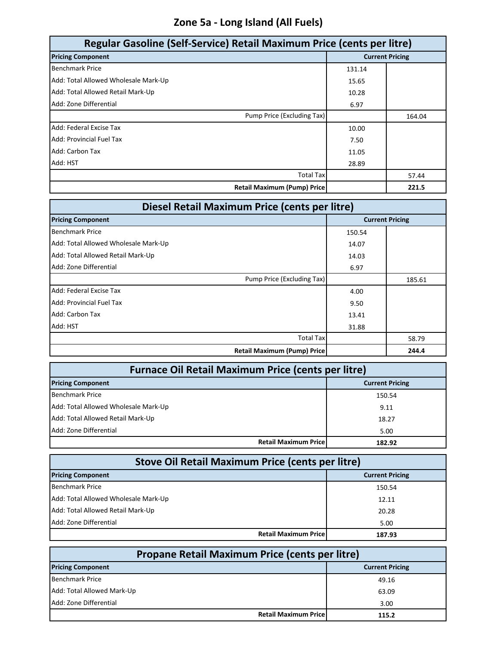# **Zone 5a - Long Island (All Fuels)**

| Regular Gasoline (Self-Service) Retail Maximum Price (cents per litre) |        |                        |
|------------------------------------------------------------------------|--------|------------------------|
| <b>Pricing Component</b>                                               |        | <b>Current Pricing</b> |
| <b>Benchmark Price</b>                                                 | 131.14 |                        |
| Add: Total Allowed Wholesale Mark-Up                                   | 15.65  |                        |
| Add: Total Allowed Retail Mark-Up                                      | 10.28  |                        |
| Add: Zone Differential                                                 | 6.97   |                        |
| Pump Price (Excluding Tax)                                             |        | 164.04                 |
| Add: Federal Excise Tax                                                | 10.00  |                        |
| Add: Provincial Fuel Tax                                               | 7.50   |                        |
| Add: Carbon Tax                                                        | 11.05  |                        |
| Add: HST                                                               | 28.89  |                        |
| <b>Total Tax</b>                                                       |        | 57.44                  |
| <b>Retail Maximum (Pump) Price</b>                                     |        | 221.5                  |

| Diesel Retail Maximum Price (cents per litre) |        |                        |
|-----------------------------------------------|--------|------------------------|
| <b>Pricing Component</b>                      |        | <b>Current Pricing</b> |
| <b>Benchmark Price</b>                        | 150.54 |                        |
| Add: Total Allowed Wholesale Mark-Up          | 14.07  |                        |
| Add: Total Allowed Retail Mark-Up             | 14.03  |                        |
| Add: Zone Differential                        | 6.97   |                        |
| Pump Price (Excluding Tax)                    |        | 185.61                 |
| Add: Federal Excise Tax                       | 4.00   |                        |
| Add: Provincial Fuel Tax                      | 9.50   |                        |
| Add: Carbon Tax                               | 13.41  |                        |
| Add: HST                                      | 31.88  |                        |
| <b>Total Tax</b>                              |        | 58.79                  |
| <b>Retail Maximum (Pump) Price</b>            |        | 244.4                  |

| <b>Furnace Oil Retail Maximum Price (cents per litre)</b> |                                       |  |
|-----------------------------------------------------------|---------------------------------------|--|
| <b>Pricing Component</b>                                  | <b>Current Pricing</b>                |  |
| <b>Benchmark Price</b>                                    | 150.54                                |  |
| Add: Total Allowed Wholesale Mark-Up                      | 9.11                                  |  |
| Add: Total Allowed Retail Mark-Up                         | 18.27                                 |  |
| Add: Zone Differential                                    | 5.00                                  |  |
|                                                           | <b>Retail Maximum Price</b><br>182.92 |  |

| <b>Stove Oil Retail Maximum Price (cents per litre)</b> |                        |  |
|---------------------------------------------------------|------------------------|--|
| <b>Pricing Component</b>                                | <b>Current Pricing</b> |  |
| <b>Benchmark Price</b>                                  | 150.54                 |  |
| Add: Total Allowed Wholesale Mark-Up                    | 12.11                  |  |
| Add: Total Allowed Retail Mark-Up                       | 20.28                  |  |
| Add: Zone Differential                                  | 5.00                   |  |
| <b>Retail Maximum Pricel</b>                            | 187.93                 |  |

| <b>Propane Retail Maximum Price (cents per litre)</b> |       |  |  |
|-------------------------------------------------------|-------|--|--|
| <b>Pricing Component</b><br><b>Current Pricing</b>    |       |  |  |
| <b>Benchmark Price</b>                                | 49.16 |  |  |
| Add: Total Allowed Mark-Up                            | 63.09 |  |  |
| Add: Zone Differential                                | 3.00  |  |  |
| <b>Retail Maximum Price</b>                           | 115.2 |  |  |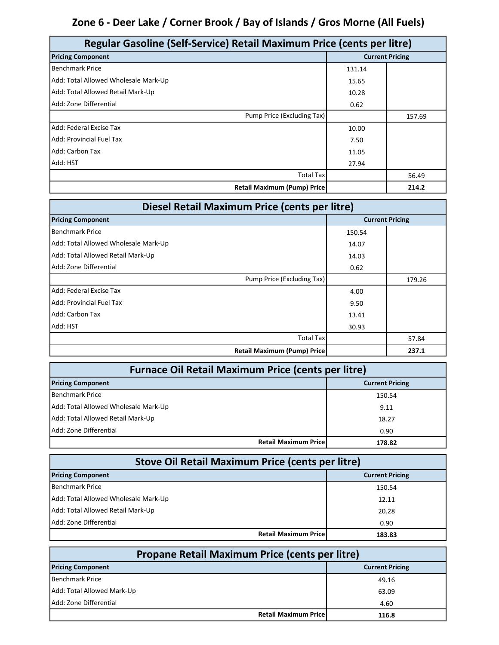### **Zone 6 - Deer Lake / Corner Brook / Bay of Islands / Gros Morne (All Fuels)**

| Regular Gasoline (Self-Service) Retail Maximum Price (cents per litre) |                        |        |
|------------------------------------------------------------------------|------------------------|--------|
| <b>Pricing Component</b>                                               | <b>Current Pricing</b> |        |
| <b>Benchmark Price</b>                                                 | 131.14                 |        |
| Add: Total Allowed Wholesale Mark-Up                                   | 15.65                  |        |
| Add: Total Allowed Retail Mark-Up                                      | 10.28                  |        |
| Add: Zone Differential                                                 | 0.62                   |        |
| Pump Price (Excluding Tax)                                             |                        | 157.69 |
| Add: Federal Excise Tax                                                | 10.00                  |        |
| <b>Add: Provincial Fuel Tax</b>                                        | 7.50                   |        |
| Add: Carbon Tax                                                        | 11.05                  |        |
| Add: HST                                                               | 27.94                  |        |
| <b>Total Tax</b>                                                       |                        | 56.49  |
| <b>Retail Maximum (Pump) Price</b>                                     |                        | 214.2  |

| Diesel Retail Maximum Price (cents per litre) |        |                        |
|-----------------------------------------------|--------|------------------------|
| <b>Pricing Component</b>                      |        | <b>Current Pricing</b> |
| <b>Benchmark Price</b>                        | 150.54 |                        |
| Add: Total Allowed Wholesale Mark-Up          | 14.07  |                        |
| Add: Total Allowed Retail Mark-Up             | 14.03  |                        |
| Add: Zone Differential                        | 0.62   |                        |
| Pump Price (Excluding Tax)                    |        | 179.26                 |
| Add: Federal Excise Tax                       | 4.00   |                        |
| Add: Provincial Fuel Tax                      | 9.50   |                        |
| Add: Carbon Tax                               | 13.41  |                        |
| Add: HST                                      | 30.93  |                        |
| <b>Total Tax</b>                              |        | 57.84                  |
| <b>Retail Maximum (Pump) Price</b>            |        | 237.1                  |

| <b>Furnace Oil Retail Maximum Price (cents per litre)</b> |                                       |  |
|-----------------------------------------------------------|---------------------------------------|--|
| <b>Pricing Component</b><br><b>Current Pricing</b>        |                                       |  |
| <b>Benchmark Price</b>                                    | 150.54                                |  |
| Add: Total Allowed Wholesale Mark-Up                      | 9.11                                  |  |
| Add: Total Allowed Retail Mark-Up                         | 18.27                                 |  |
| Add: Zone Differential                                    | 0.90                                  |  |
|                                                           | <b>Retail Maximum Price</b><br>178.82 |  |

| <b>Stove Oil Retail Maximum Price (cents per litre)</b> |                        |  |
|---------------------------------------------------------|------------------------|--|
| <b>Pricing Component</b>                                | <b>Current Pricing</b> |  |
| <b>Benchmark Price</b>                                  | 150.54                 |  |
| Add: Total Allowed Wholesale Mark-Up                    | 12.11                  |  |
| Add: Total Allowed Retail Mark-Up                       | 20.28                  |  |
| Add: Zone Differential                                  | 0.90                   |  |
| <b>Retail Maximum Pricel</b>                            | 183.83                 |  |

| <b>Propane Retail Maximum Price (cents per litre)</b> |       |  |  |
|-------------------------------------------------------|-------|--|--|
| <b>Pricing Component</b><br><b>Current Pricing</b>    |       |  |  |
| <b>Benchmark Price</b>                                | 49.16 |  |  |
| Add: Total Allowed Mark-Up                            | 63.09 |  |  |
| Add: Zone Differential                                | 4.60  |  |  |
| <b>Retail Maximum Price</b>                           | 116.8 |  |  |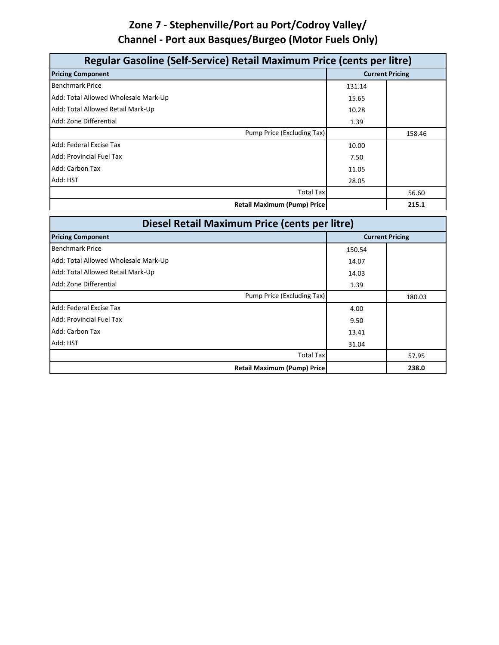### **Zone 7 - Stephenville/Port au Port/Codroy Valley/ Channel - Port aux Basques/Burgeo (Motor Fuels Only)**

| Regular Gasoline (Self-Service) Retail Maximum Price (cents per litre) |                        |        |
|------------------------------------------------------------------------|------------------------|--------|
| <b>Pricing Component</b>                                               | <b>Current Pricing</b> |        |
| <b>Benchmark Price</b>                                                 | 131.14                 |        |
| Add: Total Allowed Wholesale Mark-Up                                   | 15.65                  |        |
| Add: Total Allowed Retail Mark-Up                                      | 10.28                  |        |
| Add: Zone Differential                                                 | 1.39                   |        |
| Pump Price (Excluding Tax)                                             |                        | 158.46 |
| Add: Federal Excise Tax                                                | 10.00                  |        |
| Add: Provincial Fuel Tax                                               | 7.50                   |        |
| Add: Carbon Tax                                                        | 11.05                  |        |
| Add: HST                                                               | 28.05                  |        |
| <b>Total Tax</b>                                                       |                        | 56.60  |
| <b>Retail Maximum (Pump) Price</b>                                     |                        | 215.1  |

| Diesel Retail Maximum Price (cents per litre) |        |                        |
|-----------------------------------------------|--------|------------------------|
| <b>Pricing Component</b>                      |        | <b>Current Pricing</b> |
| <b>Benchmark Price</b>                        | 150.54 |                        |
| Add: Total Allowed Wholesale Mark-Up          | 14.07  |                        |
| Add: Total Allowed Retail Mark-Up             | 14.03  |                        |
| Add: Zone Differential                        | 1.39   |                        |
| Pump Price (Excluding Tax)                    |        | 180.03                 |
| Add: Federal Excise Tax                       | 4.00   |                        |
| Add: Provincial Fuel Tax                      | 9.50   |                        |
| Add: Carbon Tax                               | 13.41  |                        |
| Add: HST                                      | 31.04  |                        |
| <b>Total Tax</b>                              |        | 57.95                  |
| <b>Retail Maximum (Pump) Price</b>            |        | 238.0                  |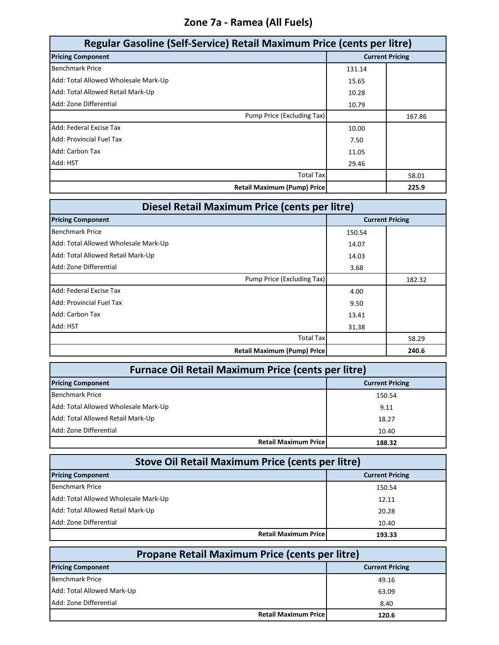#### **Zone 7a - Ramea (All Fuels)**

| Regular Gasoline (Self-Service) Retail Maximum Price (cents per litre) |                        |        |
|------------------------------------------------------------------------|------------------------|--------|
| <b>Pricing Component</b>                                               | <b>Current Pricing</b> |        |
| <b>Benchmark Price</b>                                                 | 131.14                 |        |
| Add: Total Allowed Wholesale Mark-Up                                   | 15.65                  |        |
| Add: Total Allowed Retail Mark-Up                                      | 10.28                  |        |
| Add: Zone Differential                                                 | 10.79                  |        |
| Pump Price (Excluding Tax)                                             |                        | 167.86 |
| Add: Federal Excise Tax                                                | 10.00                  |        |
| Add: Provincial Fuel Tax                                               | 7.50                   |        |
| Add: Carbon Tax                                                        | 11.05                  |        |
| Add: HST                                                               | 29.46                  |        |
| <b>Total Tax</b>                                                       |                        | 58.01  |
| <b>Retail Maximum (Pump) Price</b>                                     |                        | 225.9  |

| Diesel Retail Maximum Price (cents per litre) |        |                        |
|-----------------------------------------------|--------|------------------------|
| <b>Pricing Component</b>                      |        | <b>Current Pricing</b> |
| <b>Benchmark Price</b>                        | 150.54 |                        |
| Add: Total Allowed Wholesale Mark-Up          | 14.07  |                        |
| Add: Total Allowed Retail Mark-Up             | 14.03  |                        |
| Add: Zone Differential                        | 3.68   |                        |
| Pump Price (Excluding Tax)                    |        | 182.32                 |
| Add: Federal Excise Tax                       | 4.00   |                        |
| Add: Provincial Fuel Tax                      | 9.50   |                        |
| Add: Carbon Tax                               | 13.41  |                        |
| Add: HST                                      | 31.38  |                        |
| <b>Total Tax</b>                              |        | 58.29                  |
| <b>Retail Maximum (Pump) Price</b>            |        | 240.6                  |

| <b>Furnace Oil Retail Maximum Price (cents per litre)</b> |                                       |  |
|-----------------------------------------------------------|---------------------------------------|--|
| <b>Pricing Component</b><br><b>Current Pricing</b>        |                                       |  |
| <b>Benchmark Price</b>                                    | 150.54                                |  |
| Add: Total Allowed Wholesale Mark-Up                      | 9.11                                  |  |
| Add: Total Allowed Retail Mark-Up                         | 18.27                                 |  |
| Add: Zone Differential                                    | 10.40                                 |  |
|                                                           | <b>Retail Maximum Price</b><br>188.32 |  |

| Stove Oil Retail Maximum Price (cents per litre) |                        |  |
|--------------------------------------------------|------------------------|--|
| <b>Pricing Component</b>                         | <b>Current Pricing</b> |  |
| <b>Benchmark Price</b>                           | 150.54                 |  |
| Add: Total Allowed Wholesale Mark-Up             | 12.11                  |  |
| Add: Total Allowed Retail Mark-Up                | 20.28                  |  |
| Add: Zone Differential                           | 10.40                  |  |
| <b>Retail Maximum Pricel</b>                     | 193.33                 |  |

| <b>Propane Retail Maximum Price (cents per litre)</b> |                        |  |
|-------------------------------------------------------|------------------------|--|
| <b>Pricing Component</b>                              | <b>Current Pricing</b> |  |
| <b>Benchmark Price</b>                                | 49.16                  |  |
| Add: Total Allowed Mark-Up                            | 63.09                  |  |
| Add: Zone Differential                                | 8.40                   |  |
| <b>Retail Maximum Price</b>                           | 120.6                  |  |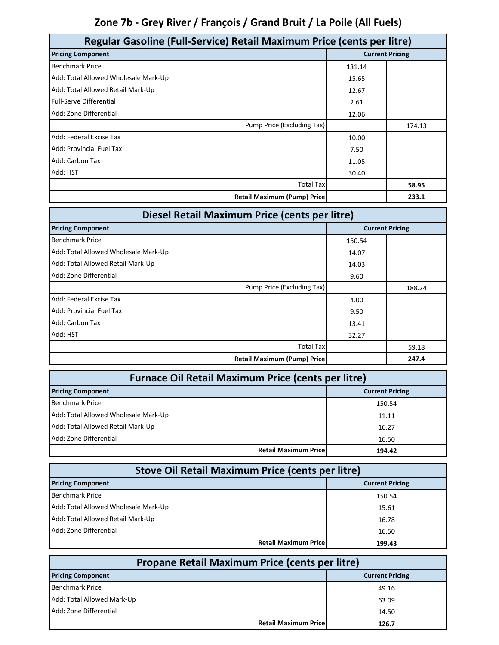# **Zone 7b - Grey River / François / Grand Bruit / La Poile (All Fuels)**

| Regular Gasoline (Full-Service) Retail Maximum Price (cents per litre) |        |                        |
|------------------------------------------------------------------------|--------|------------------------|
| <b>Pricing Component</b>                                               |        | <b>Current Pricing</b> |
| <b>Benchmark Price</b>                                                 | 131.14 |                        |
| Add: Total Allowed Wholesale Mark-Up                                   | 15.65  |                        |
| Add: Total Allowed Retail Mark-Up                                      | 12.67  |                        |
| <b>Full-Serve Differential</b>                                         | 2.61   |                        |
| Add: Zone Differential                                                 | 12.06  |                        |
| Pump Price (Excluding Tax)                                             |        | 174.13                 |
| Add: Federal Excise Tax                                                | 10.00  |                        |
| <b>Add: Provincial Fuel Tax</b>                                        | 7.50   |                        |
| Add: Carbon Tax                                                        | 11.05  |                        |
| Add: HST                                                               | 30.40  |                        |
| Total Tax                                                              |        | 58.95                  |
| <b>Retail Maximum (Pump) Price</b>                                     |        | 233.1                  |

| Diesel Retail Maximum Price (cents per litre) |        |                        |
|-----------------------------------------------|--------|------------------------|
| <b>Pricing Component</b>                      |        | <b>Current Pricing</b> |
| <b>Benchmark Price</b>                        | 150.54 |                        |
| Add: Total Allowed Wholesale Mark-Up          | 14.07  |                        |
| Add: Total Allowed Retail Mark-Up             | 14.03  |                        |
| Add: Zone Differential                        | 9.60   |                        |
| Pump Price (Excluding Tax)                    |        | 188.24                 |
| Add: Federal Excise Tax                       | 4.00   |                        |
| <b>Add: Provincial Fuel Tax</b>               | 9.50   |                        |
| Add: Carbon Tax                               | 13.41  |                        |
| Add: HST                                      | 32.27  |                        |
| <b>Total Tax</b>                              |        | 59.18                  |
| <b>Retail Maximum (Pump) Price</b>            |        | 247.4                  |

| <b>Furnace Oil Retail Maximum Price (cents per litre)</b> |                              |                        |
|-----------------------------------------------------------|------------------------------|------------------------|
| <b>Pricing Component</b>                                  |                              | <b>Current Pricing</b> |
| <b>Benchmark Price</b>                                    |                              | 150.54                 |
| Add: Total Allowed Wholesale Mark-Up                      |                              | 11.11                  |
| Add: Total Allowed Retail Mark-Up                         |                              | 16.27                  |
| Add: Zone Differential                                    |                              | 16.50                  |
|                                                           | <b>Retail Maximum Pricel</b> | 194.42                 |

| <b>Stove Oil Retail Maximum Price (cents per litre)</b> |                        |  |
|---------------------------------------------------------|------------------------|--|
| <b>Pricing Component</b>                                | <b>Current Pricing</b> |  |
| <b>Benchmark Price</b>                                  | 150.54                 |  |
| Add: Total Allowed Wholesale Mark-Up                    | 15.61                  |  |
| Add: Total Allowed Retail Mark-Up                       | 16.78                  |  |
| Add: Zone Differential                                  | 16.50                  |  |
| <b>Retail Maximum Pricel</b>                            | 199.43                 |  |

| Propane Retail Maximum Price (cents per litre) |                                       |  |
|------------------------------------------------|---------------------------------------|--|
| <b>Pricing Component</b>                       | <b>Current Pricing</b>                |  |
| <b>Benchmark Price</b>                         | 49.16                                 |  |
| Add: Total Allowed Mark-Up                     | 63.09                                 |  |
| Add: Zone Differential                         | 14.50                                 |  |
|                                                | <b>Retail Maximum Pricel</b><br>126.7 |  |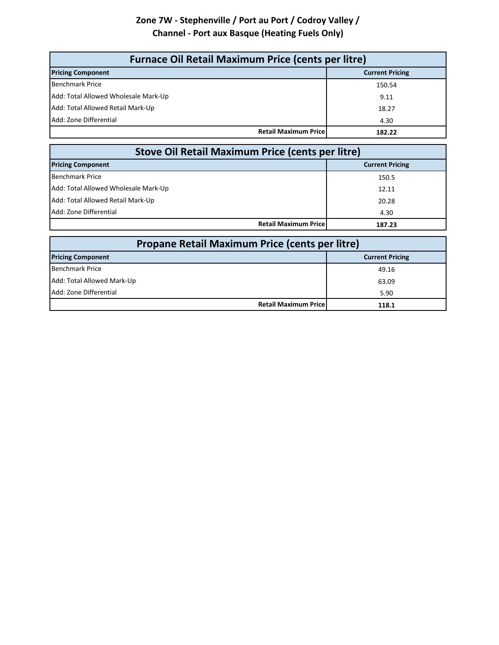#### **Zone 7W - Stephenville / Port au Port / Codroy Valley / Channel - Port aux Basque (Heating Fuels Only)**

| <b>Furnace Oil Retail Maximum Price (cents per litre)</b> |                        |  |
|-----------------------------------------------------------|------------------------|--|
| <b>Pricing Component</b>                                  | <b>Current Pricing</b> |  |
| <b>Benchmark Price</b>                                    | 150.54                 |  |
| Add: Total Allowed Wholesale Mark-Up                      | 9.11                   |  |
| Add: Total Allowed Retail Mark-Up                         | 18.27                  |  |
| Add: Zone Differential                                    | 4.30                   |  |
| <b>Retail Maximum Price</b>                               | 182.22                 |  |

| <b>Stove Oil Retail Maximum Price (cents per litre)</b> |                        |  |
|---------------------------------------------------------|------------------------|--|
| <b>Pricing Component</b>                                | <b>Current Pricing</b> |  |
| <b>Benchmark Price</b>                                  | 150.5                  |  |
| Add: Total Allowed Wholesale Mark-Up                    | 12.11                  |  |
| Add: Total Allowed Retail Mark-Up                       | 20.28                  |  |
| Add: Zone Differential                                  | 4.30                   |  |
| <b>Retail Maximum Price</b>                             | 187.23                 |  |

| Propane Retail Maximum Price (cents per litre) |                        |  |
|------------------------------------------------|------------------------|--|
| <b>Pricing Component</b>                       | <b>Current Pricing</b> |  |
| <b>Benchmark Price</b>                         | 49.16                  |  |
| Add: Total Allowed Mark-Up                     | 63.09                  |  |
| Add: Zone Differential                         | 5.90                   |  |
| <b>Retail Maximum Pricel</b>                   | 118.1                  |  |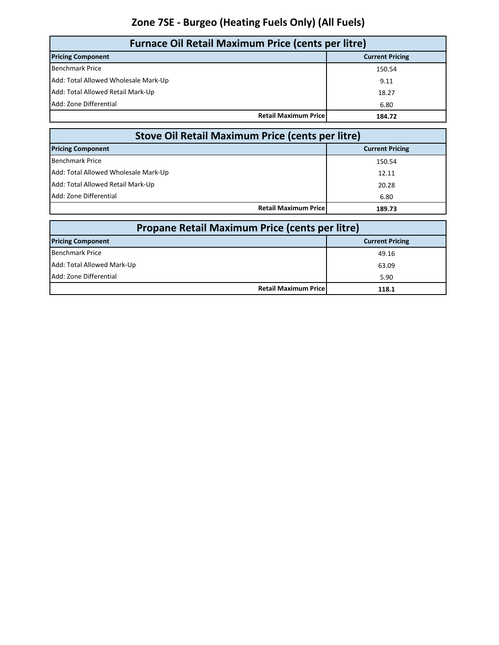# **Zone 7SE - Burgeo (Heating Fuels Only) (All Fuels)**

| <b>Furnace Oil Retail Maximum Price (cents per litre)</b> |                        |  |
|-----------------------------------------------------------|------------------------|--|
| <b>Pricing Component</b>                                  | <b>Current Pricing</b> |  |
| <b>Benchmark Price</b>                                    | 150.54                 |  |
| Add: Total Allowed Wholesale Mark-Up                      | 9.11                   |  |
| Add: Total Allowed Retail Mark-Up                         | 18.27                  |  |
| Add: Zone Differential                                    | 6.80                   |  |
| <b>Retail Maximum Pricel</b>                              | 184.72                 |  |

| <b>Stove Oil Retail Maximum Price (cents per litre)</b> |                        |  |
|---------------------------------------------------------|------------------------|--|
| <b>Pricing Component</b>                                | <b>Current Pricing</b> |  |
| <b>Benchmark Price</b>                                  | 150.54                 |  |
| Add: Total Allowed Wholesale Mark-Up                    | 12.11                  |  |
| Add: Total Allowed Retail Mark-Up                       | 20.28                  |  |
| Add: Zone Differential                                  | 6.80                   |  |
| <b>Retail Maximum Pricel</b>                            | 189.73                 |  |

| Propane Retail Maximum Price (cents per litre) |                                       |  |
|------------------------------------------------|---------------------------------------|--|
| <b>Pricing Component</b>                       | <b>Current Pricing</b>                |  |
| <b>Benchmark Price</b>                         | 49.16                                 |  |
| Add: Total Allowed Mark-Up                     | 63.09                                 |  |
| Add: Zone Differential                         | 5.90                                  |  |
|                                                | <b>Retail Maximum Pricel</b><br>118.1 |  |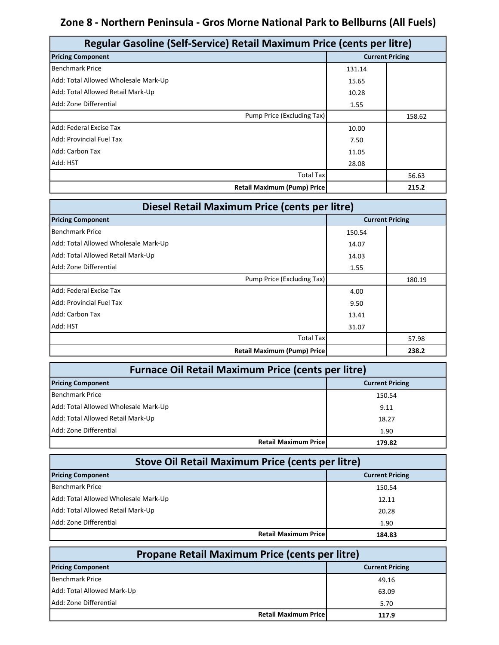### **Zone 8 - Northern Peninsula - Gros Morne National Park to Bellburns (All Fuels)**

| Regular Gasoline (Self-Service) Retail Maximum Price (cents per litre) |                        |        |
|------------------------------------------------------------------------|------------------------|--------|
| <b>Pricing Component</b>                                               | <b>Current Pricing</b> |        |
| <b>Benchmark Price</b>                                                 | 131.14                 |        |
| Add: Total Allowed Wholesale Mark-Up                                   | 15.65                  |        |
| Add: Total Allowed Retail Mark-Up                                      | 10.28                  |        |
| Add: Zone Differential                                                 | 1.55                   |        |
| Pump Price (Excluding Tax)                                             |                        | 158.62 |
| Add: Federal Excise Tax                                                | 10.00                  |        |
| Add: Provincial Fuel Tax                                               | 7.50                   |        |
| Add: Carbon Tax                                                        | 11.05                  |        |
| Add: HST                                                               | 28.08                  |        |
| <b>Total Tax</b>                                                       |                        | 56.63  |
| <b>Retail Maximum (Pump) Price</b>                                     |                        | 215.2  |

| Diesel Retail Maximum Price (cents per litre) |                        |        |
|-----------------------------------------------|------------------------|--------|
| <b>Pricing Component</b>                      | <b>Current Pricing</b> |        |
| <b>Benchmark Price</b>                        | 150.54                 |        |
| Add: Total Allowed Wholesale Mark-Up          | 14.07                  |        |
| Add: Total Allowed Retail Mark-Up             | 14.03                  |        |
| Add: Zone Differential                        | 1.55                   |        |
| Pump Price (Excluding Tax)                    |                        | 180.19 |
| Add: Federal Excise Tax                       | 4.00                   |        |
| Add: Provincial Fuel Tax                      | 9.50                   |        |
| Add: Carbon Tax                               | 13.41                  |        |
| Add: HST                                      | 31.07                  |        |
| <b>Total Tax</b>                              |                        | 57.98  |
| <b>Retail Maximum (Pump) Price</b>            |                        | 238.2  |

| <b>Furnace Oil Retail Maximum Price (cents per litre)</b> |                        |  |
|-----------------------------------------------------------|------------------------|--|
| <b>Pricing Component</b>                                  | <b>Current Pricing</b> |  |
| <b>Benchmark Price</b>                                    | 150.54                 |  |
| Add: Total Allowed Wholesale Mark-Up                      | 9.11                   |  |
| Add: Total Allowed Retail Mark-Up                         | 18.27                  |  |
| Add: Zone Differential                                    | 1.90                   |  |
| <b>Retail Maximum Price</b>                               | 179.82                 |  |

| <b>Stove Oil Retail Maximum Price (cents per litre)</b> |                        |  |
|---------------------------------------------------------|------------------------|--|
| <b>Pricing Component</b>                                | <b>Current Pricing</b> |  |
| <b>Benchmark Price</b>                                  | 150.54                 |  |
| Add: Total Allowed Wholesale Mark-Up                    | 12.11                  |  |
| Add: Total Allowed Retail Mark-Up                       | 20.28                  |  |
| Add: Zone Differential                                  | 1.90                   |  |
| <b>Retail Maximum Pricel</b>                            | 184.83                 |  |

| <b>Propane Retail Maximum Price (cents per litre)</b> |                        |  |
|-------------------------------------------------------|------------------------|--|
| <b>Pricing Component</b>                              | <b>Current Pricing</b> |  |
| <b>Benchmark Price</b>                                | 49.16                  |  |
| Add: Total Allowed Mark-Up                            | 63.09                  |  |
| Add: Zone Differential                                | 5.70                   |  |
| <b>Retail Maximum Price</b>                           | 117.9                  |  |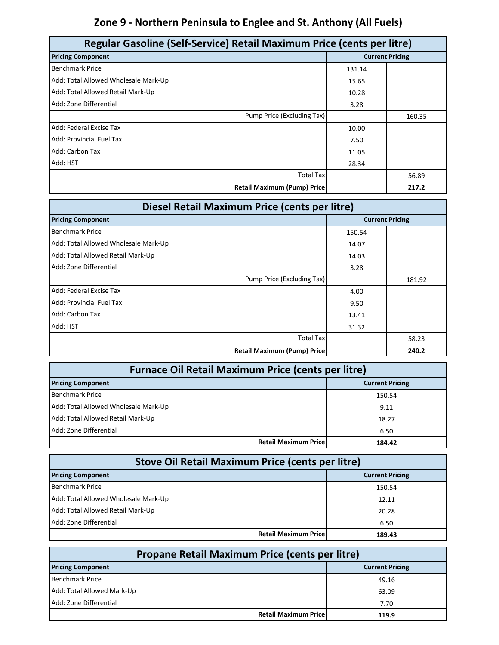# **Zone 9 - Northern Peninsula to Englee and St. Anthony (All Fuels)**

| Regular Gasoline (Self-Service) Retail Maximum Price (cents per litre) |                        |        |
|------------------------------------------------------------------------|------------------------|--------|
| <b>Pricing Component</b>                                               | <b>Current Pricing</b> |        |
| <b>Benchmark Price</b>                                                 | 131.14                 |        |
| Add: Total Allowed Wholesale Mark-Up                                   | 15.65                  |        |
| Add: Total Allowed Retail Mark-Up                                      | 10.28                  |        |
| Add: Zone Differential                                                 | 3.28                   |        |
| Pump Price (Excluding Tax)                                             |                        | 160.35 |
| Add: Federal Excise Tax                                                | 10.00                  |        |
| Add: Provincial Fuel Tax                                               | 7.50                   |        |
| Add: Carbon Tax                                                        | 11.05                  |        |
| Add: HST                                                               | 28.34                  |        |
| <b>Total Tax</b>                                                       |                        | 56.89  |
| <b>Retail Maximum (Pump) Price</b>                                     |                        | 217.2  |

| Diesel Retail Maximum Price (cents per litre) |                        |        |
|-----------------------------------------------|------------------------|--------|
| <b>Pricing Component</b>                      | <b>Current Pricing</b> |        |
| <b>Benchmark Price</b>                        | 150.54                 |        |
| Add: Total Allowed Wholesale Mark-Up          | 14.07                  |        |
| Add: Total Allowed Retail Mark-Up             | 14.03                  |        |
| Add: Zone Differential                        | 3.28                   |        |
| Pump Price (Excluding Tax)                    |                        | 181.92 |
| Add: Federal Excise Tax                       | 4.00                   |        |
| Add: Provincial Fuel Tax                      | 9.50                   |        |
| Add: Carbon Tax                               | 13.41                  |        |
| Add: HST                                      | 31.32                  |        |
| <b>Total Tax</b>                              |                        | 58.23  |
| <b>Retail Maximum (Pump) Price</b>            |                        | 240.2  |

| <b>Furnace Oil Retail Maximum Price (cents per litre)</b> |                                       |  |
|-----------------------------------------------------------|---------------------------------------|--|
| <b>Pricing Component</b>                                  | <b>Current Pricing</b>                |  |
| <b>Benchmark Price</b>                                    | 150.54                                |  |
| Add: Total Allowed Wholesale Mark-Up                      | 9.11                                  |  |
| Add: Total Allowed Retail Mark-Up                         | 18.27                                 |  |
| Add: Zone Differential                                    | 6.50                                  |  |
|                                                           | <b>Retail Maximum Price</b><br>184.42 |  |

| Stove Oil Retail Maximum Price (cents per litre) |                        |  |
|--------------------------------------------------|------------------------|--|
| <b>Pricing Component</b>                         | <b>Current Pricing</b> |  |
| <b>Benchmark Price</b>                           | 150.54                 |  |
| Add: Total Allowed Wholesale Mark-Up             | 12.11                  |  |
| Add: Total Allowed Retail Mark-Up                | 20.28                  |  |
| Add: Zone Differential                           | 6.50                   |  |
| <b>Retail Maximum Pricel</b>                     | 189.43                 |  |

| <b>Propane Retail Maximum Price (cents per litre)</b> |                        |  |
|-------------------------------------------------------|------------------------|--|
| <b>Pricing Component</b>                              | <b>Current Pricing</b> |  |
| <b>Benchmark Price</b>                                | 49.16                  |  |
| Add: Total Allowed Mark-Up                            | 63.09                  |  |
| Add: Zone Differential                                | 7.70                   |  |
| <b>Retail Maximum Price</b>                           | 119.9                  |  |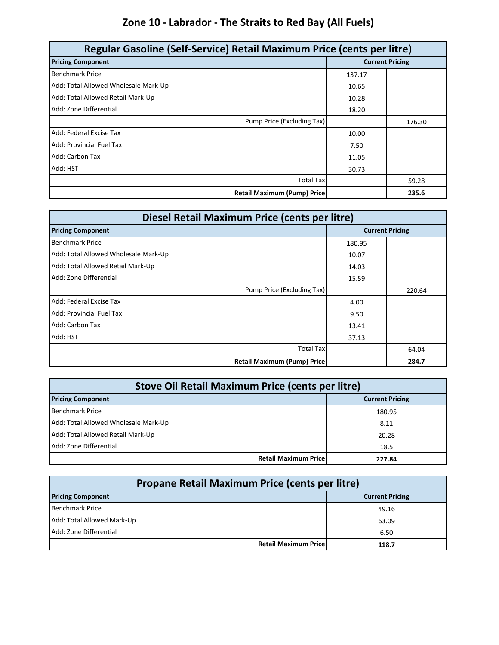# **Zone 10 - Labrador - The Straits to Red Bay (All Fuels)**

| Regular Gasoline (Self-Service) Retail Maximum Price (cents per litre) |                        |        |
|------------------------------------------------------------------------|------------------------|--------|
| <b>Pricing Component</b>                                               | <b>Current Pricing</b> |        |
| <b>Benchmark Price</b>                                                 | 137.17                 |        |
| Add: Total Allowed Wholesale Mark-Up                                   | 10.65                  |        |
| Add: Total Allowed Retail Mark-Up                                      | 10.28                  |        |
| Add: Zone Differential                                                 | 18.20                  |        |
| Pump Price (Excluding Tax)                                             |                        | 176.30 |
| Add: Federal Excise Tax                                                | 10.00                  |        |
| Add: Provincial Fuel Tax                                               | 7.50                   |        |
| Add: Carbon Tax                                                        | 11.05                  |        |
| Add: HST                                                               | 30.73                  |        |
| <b>Total Tax</b>                                                       |                        | 59.28  |
| <b>Retail Maximum (Pump) Price</b>                                     |                        | 235.6  |

| Diesel Retail Maximum Price (cents per litre) |                        |        |
|-----------------------------------------------|------------------------|--------|
| <b>Pricing Component</b>                      | <b>Current Pricing</b> |        |
| <b>Benchmark Price</b>                        | 180.95                 |        |
| Add: Total Allowed Wholesale Mark-Up          | 10.07                  |        |
| Add: Total Allowed Retail Mark-Up             | 14.03                  |        |
| Add: Zone Differential                        | 15.59                  |        |
| Pump Price (Excluding Tax)                    |                        | 220.64 |
| Add: Federal Excise Tax                       | 4.00                   |        |
| Add: Provincial Fuel Tax                      | 9.50                   |        |
| Add: Carbon Tax                               | 13.41                  |        |
| Add: HST                                      | 37.13                  |        |
| <b>Total Tax</b>                              |                        | 64.04  |
| <b>Retail Maximum (Pump) Price</b>            |                        | 284.7  |

| Stove Oil Retail Maximum Price (cents per litre)   |        |  |  |
|----------------------------------------------------|--------|--|--|
| <b>Pricing Component</b><br><b>Current Pricing</b> |        |  |  |
| <b>Benchmark Price</b>                             | 180.95 |  |  |
| Add: Total Allowed Wholesale Mark-Up               | 8.11   |  |  |
| Add: Total Allowed Retail Mark-Up                  | 20.28  |  |  |
| Add: Zone Differential                             | 18.5   |  |  |
| <b>Retail Maximum Price</b>                        | 227.84 |  |  |

| <b>Propane Retail Maximum Price (cents per litre)</b> |                                       |  |  |
|-------------------------------------------------------|---------------------------------------|--|--|
| <b>Pricing Component</b><br><b>Current Pricing</b>    |                                       |  |  |
| <b>Benchmark Price</b>                                | 49.16                                 |  |  |
| Add: Total Allowed Mark-Up                            | 63.09                                 |  |  |
| Add: Zone Differential                                | 6.50                                  |  |  |
|                                                       | <b>Retail Maximum Pricel</b><br>118.7 |  |  |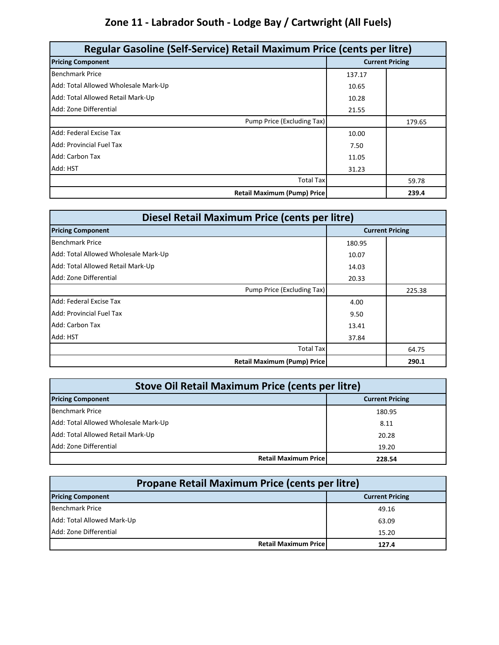# **Zone 11 - Labrador South - Lodge Bay / Cartwright (All Fuels)**

| Regular Gasoline (Self-Service) Retail Maximum Price (cents per litre) |        |                        |
|------------------------------------------------------------------------|--------|------------------------|
| <b>Pricing Component</b>                                               |        | <b>Current Pricing</b> |
| <b>Benchmark Price</b>                                                 | 137.17 |                        |
| Add: Total Allowed Wholesale Mark-Up                                   | 10.65  |                        |
| Add: Total Allowed Retail Mark-Up                                      | 10.28  |                        |
| Add: Zone Differential                                                 | 21.55  |                        |
| Pump Price (Excluding Tax)                                             |        | 179.65                 |
| Add: Federal Excise Tax                                                | 10.00  |                        |
| Add: Provincial Fuel Tax                                               | 7.50   |                        |
| Add: Carbon Tax                                                        | 11.05  |                        |
| Add: HST                                                               | 31.23  |                        |
| <b>Total Tax</b>                                                       |        | 59.78                  |
| <b>Retail Maximum (Pump) Price</b>                                     |        | 239.4                  |

| Diesel Retail Maximum Price (cents per litre) |        |                        |
|-----------------------------------------------|--------|------------------------|
| <b>Pricing Component</b>                      |        | <b>Current Pricing</b> |
| <b>Benchmark Price</b>                        | 180.95 |                        |
| Add: Total Allowed Wholesale Mark-Up          | 10.07  |                        |
| Add: Total Allowed Retail Mark-Up             | 14.03  |                        |
| Add: Zone Differential                        | 20.33  |                        |
| Pump Price (Excluding Tax)                    |        | 225.38                 |
| Add: Federal Excise Tax                       | 4.00   |                        |
| Add: Provincial Fuel Tax                      | 9.50   |                        |
| Add: Carbon Tax                               | 13.41  |                        |
| Add: HST                                      | 37.84  |                        |
| <b>Total Tax</b>                              |        | 64.75                  |
| <b>Retail Maximum (Pump) Price</b>            |        | 290.1                  |

| Stove Oil Retail Maximum Price (cents per litre)   |        |  |  |
|----------------------------------------------------|--------|--|--|
| <b>Pricing Component</b><br><b>Current Pricing</b> |        |  |  |
| <b>Benchmark Price</b>                             | 180.95 |  |  |
| Add: Total Allowed Wholesale Mark-Up               | 8.11   |  |  |
| Add: Total Allowed Retail Mark-Up                  | 20.28  |  |  |
| Add: Zone Differential                             | 19.20  |  |  |
| <b>Retail Maximum Price</b>                        | 228.54 |  |  |

| Propane Retail Maximum Price (cents per litre)     |                              |       |  |  |
|----------------------------------------------------|------------------------------|-------|--|--|
| <b>Pricing Component</b><br><b>Current Pricing</b> |                              |       |  |  |
| <b>Benchmark Price</b>                             |                              | 49.16 |  |  |
| Add: Total Allowed Mark-Up                         |                              | 63.09 |  |  |
| Add: Zone Differential                             |                              | 15.20 |  |  |
|                                                    | <b>Retail Maximum Pricel</b> | 127.4 |  |  |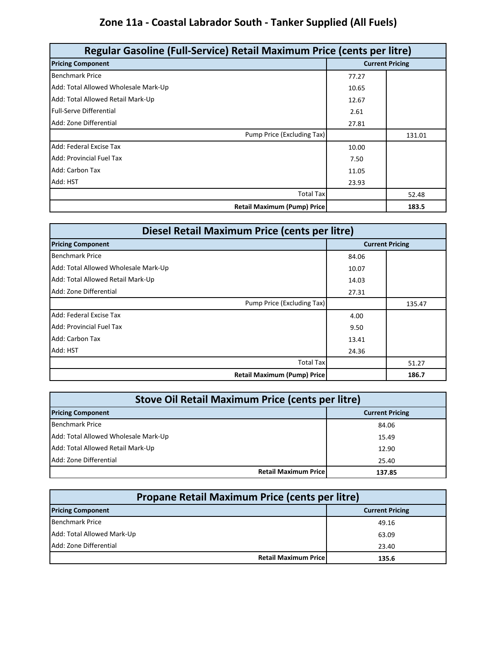# **Zone 11a - Coastal Labrador South - Tanker Supplied (All Fuels)**

| Regular Gasoline (Full-Service) Retail Maximum Price (cents per litre) |                        |        |
|------------------------------------------------------------------------|------------------------|--------|
| <b>Pricing Component</b>                                               | <b>Current Pricing</b> |        |
| <b>Benchmark Price</b>                                                 | 77.27                  |        |
| Add: Total Allowed Wholesale Mark-Up                                   | 10.65                  |        |
| Add: Total Allowed Retail Mark-Up                                      | 12.67                  |        |
| <b>Full-Serve Differential</b>                                         | 2.61                   |        |
| Add: Zone Differential                                                 | 27.81                  |        |
| Pump Price (Excluding Tax)                                             |                        | 131.01 |
| Add: Federal Excise Tax                                                | 10.00                  |        |
| <b>Add: Provincial Fuel Tax</b>                                        | 7.50                   |        |
| Add: Carbon Tax                                                        | 11.05                  |        |
| Add: HST                                                               | 23.93                  |        |
| <b>Total Tax</b>                                                       |                        | 52.48  |
| <b>Retail Maximum (Pump) Price</b>                                     |                        | 183.5  |

| Diesel Retail Maximum Price (cents per litre) |       |                        |
|-----------------------------------------------|-------|------------------------|
| <b>Pricing Component</b>                      |       | <b>Current Pricing</b> |
| <b>Benchmark Price</b>                        | 84.06 |                        |
| Add: Total Allowed Wholesale Mark-Up          | 10.07 |                        |
| Add: Total Allowed Retail Mark-Up             | 14.03 |                        |
| Add: Zone Differential                        | 27.31 |                        |
| Pump Price (Excluding Tax)                    |       | 135.47                 |
| Add: Federal Excise Tax                       | 4.00  |                        |
| Add: Provincial Fuel Tax                      | 9.50  |                        |
| Add: Carbon Tax                               | 13.41 |                        |
| Add: HST                                      | 24.36 |                        |
| <b>Total Tax</b>                              |       | 51.27                  |
| <b>Retail Maximum (Pump) Price</b>            |       | 186.7                  |

| <b>Stove Oil Retail Maximum Price (cents per litre)</b> |        |  |  |
|---------------------------------------------------------|--------|--|--|
| <b>Pricing Component</b><br><b>Current Pricing</b>      |        |  |  |
| <b>Benchmark Price</b>                                  | 84.06  |  |  |
| Add: Total Allowed Wholesale Mark-Up                    | 15.49  |  |  |
| Add: Total Allowed Retail Mark-Up                       | 12.90  |  |  |
| Add: Zone Differential                                  | 25.40  |  |  |
| <b>Retail Maximum Price</b>                             | 137.85 |  |  |

| Propane Retail Maximum Price (cents per litre)     |       |  |  |
|----------------------------------------------------|-------|--|--|
| <b>Pricing Component</b><br><b>Current Pricing</b> |       |  |  |
| <b>Benchmark Price</b>                             | 49.16 |  |  |
| Add: Total Allowed Mark-Up                         | 63.09 |  |  |
| Add: Zone Differential                             | 23.40 |  |  |
| <b>Retail Maximum Pricel</b>                       | 135.6 |  |  |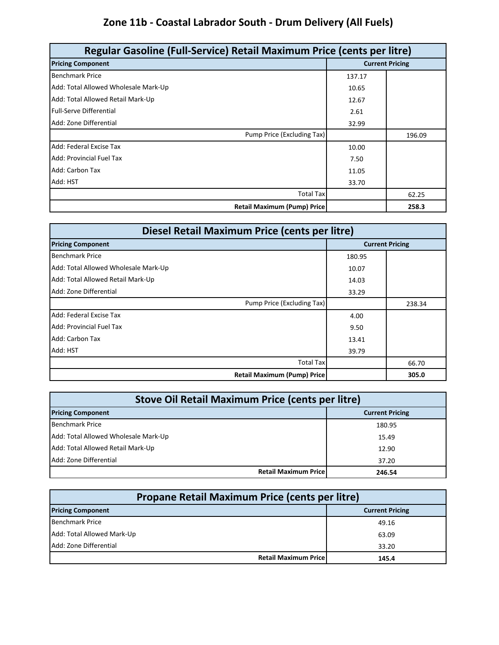# **Zone 11b - Coastal Labrador South - Drum Delivery (All Fuels)**

| Regular Gasoline (Full-Service) Retail Maximum Price (cents per litre) |        |                        |  |
|------------------------------------------------------------------------|--------|------------------------|--|
| <b>Pricing Component</b>                                               |        | <b>Current Pricing</b> |  |
| <b>Benchmark Price</b>                                                 | 137.17 |                        |  |
| Add: Total Allowed Wholesale Mark-Up                                   | 10.65  |                        |  |
| Add: Total Allowed Retail Mark-Up                                      | 12.67  |                        |  |
| <b>Full-Serve Differential</b>                                         | 2.61   |                        |  |
| Add: Zone Differential                                                 | 32.99  |                        |  |
| Pump Price (Excluding Tax)                                             |        | 196.09                 |  |
| Add: Federal Excise Tax                                                | 10.00  |                        |  |
| <b>Add: Provincial Fuel Tax</b>                                        | 7.50   |                        |  |
| Add: Carbon Tax                                                        | 11.05  |                        |  |
| Add: HST                                                               | 33.70  |                        |  |
| <b>Total Tax</b>                                                       |        | 62.25                  |  |
| <b>Retail Maximum (Pump) Price</b>                                     |        | 258.3                  |  |

| Diesel Retail Maximum Price (cents per litre) |        |                        |
|-----------------------------------------------|--------|------------------------|
| <b>Pricing Component</b>                      |        | <b>Current Pricing</b> |
| <b>Benchmark Price</b>                        | 180.95 |                        |
| Add: Total Allowed Wholesale Mark-Up          | 10.07  |                        |
| Add: Total Allowed Retail Mark-Up             | 14.03  |                        |
| Add: Zone Differential                        | 33.29  |                        |
| Pump Price (Excluding Tax)                    |        | 238.34                 |
| Add: Federal Excise Tax                       | 4.00   |                        |
| Add: Provincial Fuel Tax                      | 9.50   |                        |
| Add: Carbon Tax                               | 13.41  |                        |
| Add: HST                                      | 39.79  |                        |
| <b>Total Tax</b>                              |        | 66.70                  |
| <b>Retail Maximum (Pump) Price</b>            |        | 305.0                  |

| <b>Stove Oil Retail Maximum Price (cents per litre)</b> |        |  |  |
|---------------------------------------------------------|--------|--|--|
| <b>Current Pricing</b><br><b>Pricing Component</b>      |        |  |  |
| <b>Benchmark Price</b>                                  | 180.95 |  |  |
| Add: Total Allowed Wholesale Mark-Up                    | 15.49  |  |  |
| Add: Total Allowed Retail Mark-Up                       | 12.90  |  |  |
| Add: Zone Differential                                  | 37.20  |  |  |
| <b>Retail Maximum Price</b>                             | 246.54 |  |  |

| Propane Retail Maximum Price (cents per litre)     |       |  |  |
|----------------------------------------------------|-------|--|--|
| <b>Pricing Component</b><br><b>Current Pricing</b> |       |  |  |
| <b>Benchmark Price</b>                             | 49.16 |  |  |
| Add: Total Allowed Mark-Up                         | 63.09 |  |  |
| Add: Zone Differential                             | 33.20 |  |  |
| <b>Retail Maximum Pricel</b>                       | 145.4 |  |  |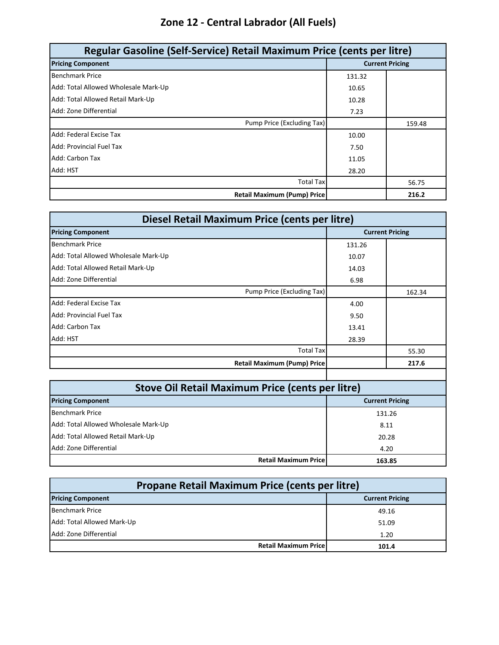# **Zone 12 - Central Labrador (All Fuels)**

| Regular Gasoline (Self-Service) Retail Maximum Price (cents per litre) |        |                        |
|------------------------------------------------------------------------|--------|------------------------|
| <b>Pricing Component</b>                                               |        | <b>Current Pricing</b> |
| <b>Benchmark Price</b>                                                 | 131.32 |                        |
| Add: Total Allowed Wholesale Mark-Up                                   | 10.65  |                        |
| Add: Total Allowed Retail Mark-Up                                      | 10.28  |                        |
| Add: Zone Differential                                                 | 7.23   |                        |
| Pump Price (Excluding Tax)                                             |        | 159.48                 |
| Add: Federal Excise Tax                                                | 10.00  |                        |
| <b>Add: Provincial Fuel Tax</b>                                        | 7.50   |                        |
| Add: Carbon Tax                                                        | 11.05  |                        |
| Add: HST                                                               | 28.20  |                        |
| <b>Total Tax</b>                                                       |        | 56.75                  |
| <b>Retail Maximum (Pump) Price</b>                                     |        | 216.2                  |

| Diesel Retail Maximum Price (cents per litre) |        |                        |  |
|-----------------------------------------------|--------|------------------------|--|
| <b>Pricing Component</b>                      |        | <b>Current Pricing</b> |  |
| <b>Benchmark Price</b>                        | 131.26 |                        |  |
| Add: Total Allowed Wholesale Mark-Up          | 10.07  |                        |  |
| Add: Total Allowed Retail Mark-Up             | 14.03  |                        |  |
| Add: Zone Differential                        | 6.98   |                        |  |
| Pump Price (Excluding Tax)                    |        | 162.34                 |  |
| Add: Federal Excise Tax                       | 4.00   |                        |  |
| Add: Provincial Fuel Tax                      | 9.50   |                        |  |
| Add: Carbon Tax                               | 13.41  |                        |  |
| Add: HST                                      | 28.39  |                        |  |
| <b>Total Tax</b>                              |        | 55.30                  |  |
| <b>Retail Maximum (Pump) Price</b>            |        | 217.6                  |  |

| <b>Stove Oil Retail Maximum Price (cents per litre)</b> |        |  |  |
|---------------------------------------------------------|--------|--|--|
| <b>Pricing Component</b><br><b>Current Pricing</b>      |        |  |  |
| <b>Benchmark Price</b>                                  | 131.26 |  |  |
| Add: Total Allowed Wholesale Mark-Up                    | 8.11   |  |  |
| Add: Total Allowed Retail Mark-Up                       | 20.28  |  |  |
| Add: Zone Differential                                  | 4.20   |  |  |
| <b>Retail Maximum Pricel</b>                            | 163.85 |  |  |

| Propane Retail Maximum Price (cents per litre)     |                                      |  |  |
|----------------------------------------------------|--------------------------------------|--|--|
| <b>Pricing Component</b><br><b>Current Pricing</b> |                                      |  |  |
| <b>Benchmark Price</b>                             | 49.16                                |  |  |
| Add: Total Allowed Mark-Up                         | 51.09                                |  |  |
| Add: Zone Differential                             | 1.20                                 |  |  |
|                                                    | <b>Retail Maximum Price</b><br>101.4 |  |  |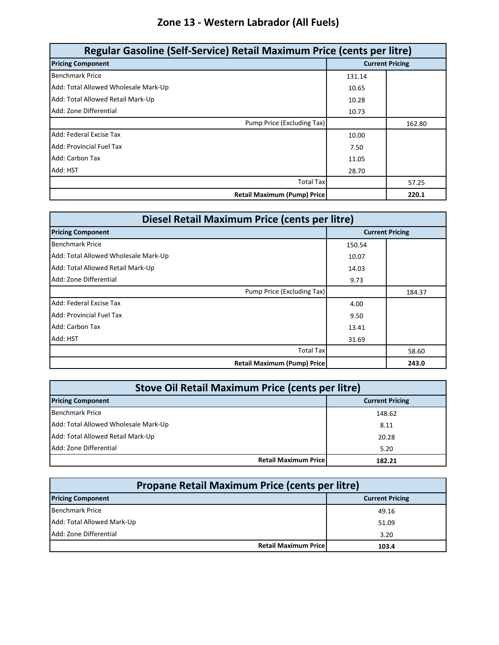# **Zone 13 - Western Labrador (All Fuels)**

| Regular Gasoline (Self-Service) Retail Maximum Price (cents per litre) |        |        |
|------------------------------------------------------------------------|--------|--------|
| <b>Pricing Component</b><br><b>Current Pricing</b>                     |        |        |
| <b>Benchmark Price</b>                                                 | 131.14 |        |
| Add: Total Allowed Wholesale Mark-Up                                   | 10.65  |        |
| Add: Total Allowed Retail Mark-Up                                      | 10.28  |        |
| Add: Zone Differential                                                 | 10.73  |        |
| Pump Price (Excluding Tax)                                             |        | 162.80 |
| Add: Federal Excise Tax                                                | 10.00  |        |
| <b>Add: Provincial Fuel Tax</b>                                        | 7.50   |        |
| Add: Carbon Tax                                                        | 11.05  |        |
| Add: HST                                                               | 28.70  |        |
| <b>Total Tax</b>                                                       |        | 57.25  |
| <b>Retail Maximum (Pump) Price</b>                                     |        | 220.1  |

| Diesel Retail Maximum Price (cents per litre) |        |                        |  |
|-----------------------------------------------|--------|------------------------|--|
| <b>Pricing Component</b>                      |        | <b>Current Pricing</b> |  |
| <b>Benchmark Price</b>                        | 150.54 |                        |  |
| Add: Total Allowed Wholesale Mark-Up          | 10.07  |                        |  |
| Add: Total Allowed Retail Mark-Up             | 14.03  |                        |  |
| Add: Zone Differential                        | 9.73   |                        |  |
| Pump Price (Excluding Tax)                    |        | 184.37                 |  |
| Add: Federal Excise Tax                       | 4.00   |                        |  |
| Add: Provincial Fuel Tax                      | 9.50   |                        |  |
| Add: Carbon Tax                               | 13.41  |                        |  |
| Add: HST                                      | 31.69  |                        |  |
| <b>Total Tax</b>                              |        | 58.60                  |  |
| <b>Retail Maximum (Pump) Price</b>            |        | 243.0                  |  |

| <b>Stove Oil Retail Maximum Price (cents per litre)</b> |        |  |
|---------------------------------------------------------|--------|--|
| <b>Pricing Component</b><br><b>Current Pricing</b>      |        |  |
| <b>Benchmark Price</b>                                  | 148.62 |  |
| Add: Total Allowed Wholesale Mark-Up                    | 8.11   |  |
| Add: Total Allowed Retail Mark-Up                       | 20.28  |  |
| Add: Zone Differential                                  | 5.20   |  |
| <b>Retail Maximum Price</b>                             | 182.21 |  |

| Propane Retail Maximum Price (cents per litre)     |                                       |  |  |
|----------------------------------------------------|---------------------------------------|--|--|
| <b>Pricing Component</b><br><b>Current Pricing</b> |                                       |  |  |
| Benchmark Price                                    | 49.16                                 |  |  |
| Add: Total Allowed Mark-Up                         | 51.09                                 |  |  |
| Add: Zone Differential                             | 3.20                                  |  |  |
|                                                    | <b>Retail Maximum Pricel</b><br>103.4 |  |  |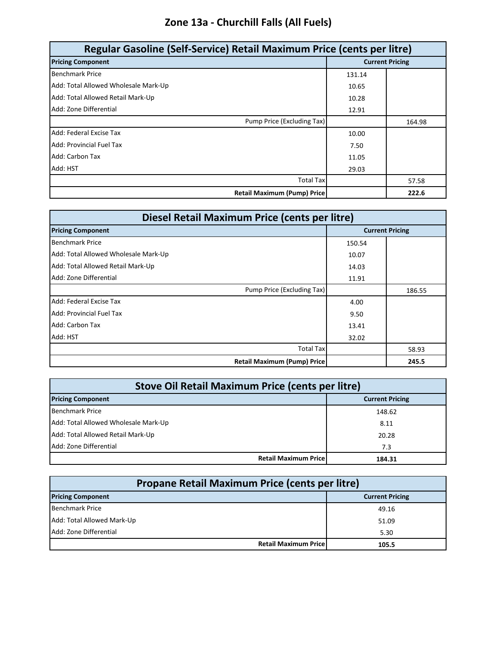### **Zone 13a - Churchill Falls (All Fuels)**

| Regular Gasoline (Self-Service) Retail Maximum Price (cents per litre) |        |                        |  |
|------------------------------------------------------------------------|--------|------------------------|--|
| <b>Pricing Component</b>                                               |        | <b>Current Pricing</b> |  |
| <b>Benchmark Price</b>                                                 | 131.14 |                        |  |
| Add: Total Allowed Wholesale Mark-Up                                   | 10.65  |                        |  |
| Add: Total Allowed Retail Mark-Up                                      | 10.28  |                        |  |
| Add: Zone Differential                                                 | 12.91  |                        |  |
| Pump Price (Excluding Tax)                                             |        | 164.98                 |  |
| Add: Federal Excise Tax                                                | 10.00  |                        |  |
| Add: Provincial Fuel Tax                                               | 7.50   |                        |  |
| Add: Carbon Tax                                                        | 11.05  |                        |  |
| Add: HST                                                               | 29.03  |                        |  |
| <b>Total Tax</b>                                                       |        | 57.58                  |  |
| <b>Retail Maximum (Pump) Price</b>                                     |        | 222.6                  |  |

| Diesel Retail Maximum Price (cents per litre) |        |                        |  |
|-----------------------------------------------|--------|------------------------|--|
| <b>Pricing Component</b>                      |        | <b>Current Pricing</b> |  |
| <b>Benchmark Price</b>                        | 150.54 |                        |  |
| Add: Total Allowed Wholesale Mark-Up          | 10.07  |                        |  |
| Add: Total Allowed Retail Mark-Up             | 14.03  |                        |  |
| Add: Zone Differential                        | 11.91  |                        |  |
| Pump Price (Excluding Tax)                    |        | 186.55                 |  |
| Add: Federal Excise Tax                       | 4.00   |                        |  |
| Add: Provincial Fuel Tax                      | 9.50   |                        |  |
| Add: Carbon Tax                               | 13.41  |                        |  |
| Add: HST                                      | 32.02  |                        |  |
| <b>Total Tax</b>                              |        | 58.93                  |  |
| <b>Retail Maximum (Pump) Price</b>            |        | 245.5                  |  |

| <b>Stove Oil Retail Maximum Price (cents per litre)</b> |                        |  |  |
|---------------------------------------------------------|------------------------|--|--|
| <b>Pricing Component</b>                                | <b>Current Pricing</b> |  |  |
| <b>Benchmark Price</b>                                  | 148.62                 |  |  |
| Add: Total Allowed Wholesale Mark-Up                    | 8.11                   |  |  |
| Add: Total Allowed Retail Mark-Up                       | 20.28                  |  |  |
| Add: Zone Differential                                  | 7.3                    |  |  |
| <b>Retail Maximum Price</b>                             | 184.31                 |  |  |

| Propane Retail Maximum Price (cents per litre) |                              |                        |  |
|------------------------------------------------|------------------------------|------------------------|--|
| <b>Pricing Component</b>                       |                              | <b>Current Pricing</b> |  |
| <b>Benchmark Price</b>                         |                              | 49.16                  |  |
| Add: Total Allowed Mark-Up                     |                              | 51.09                  |  |
| Add: Zone Differential                         |                              | 5.30                   |  |
|                                                | <b>Retail Maximum Pricel</b> | 105.5                  |  |